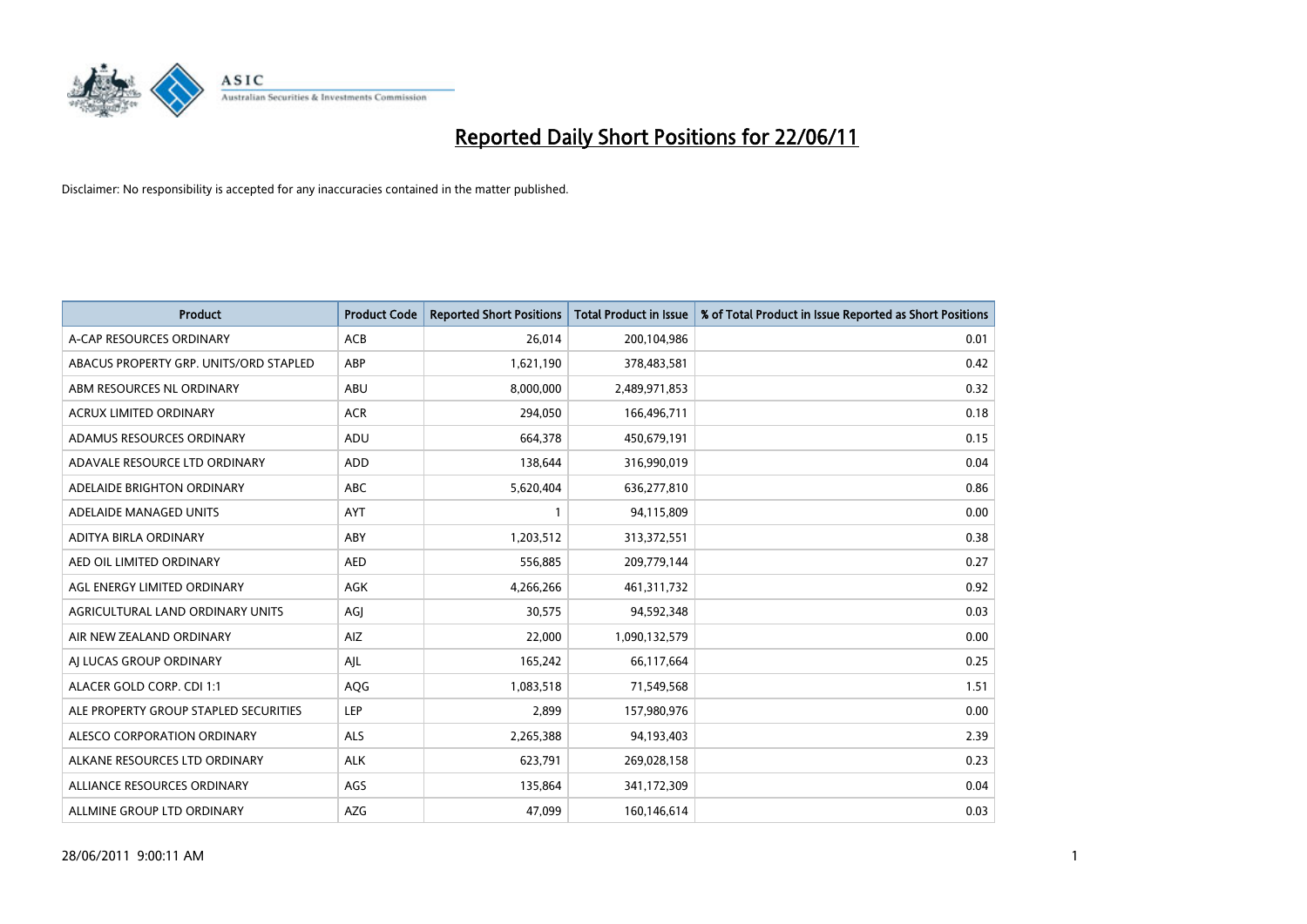

| <b>Product</b>                         | <b>Product Code</b> | <b>Reported Short Positions</b> | <b>Total Product in Issue</b> | % of Total Product in Issue Reported as Short Positions |
|----------------------------------------|---------------------|---------------------------------|-------------------------------|---------------------------------------------------------|
| A-CAP RESOURCES ORDINARY               | <b>ACB</b>          | 26,014                          | 200,104,986                   | 0.01                                                    |
| ABACUS PROPERTY GRP. UNITS/ORD STAPLED | ABP                 | 1,621,190                       | 378,483,581                   | 0.42                                                    |
| ABM RESOURCES NL ORDINARY              | ABU                 | 8,000,000                       | 2,489,971,853                 | 0.32                                                    |
| ACRUX LIMITED ORDINARY                 | <b>ACR</b>          | 294,050                         | 166,496,711                   | 0.18                                                    |
| ADAMUS RESOURCES ORDINARY              | ADU                 | 664,378                         | 450,679,191                   | 0.15                                                    |
| ADAVALE RESOURCE LTD ORDINARY          | <b>ADD</b>          | 138,644                         | 316,990,019                   | 0.04                                                    |
| ADELAIDE BRIGHTON ORDINARY             | ABC                 | 5,620,404                       | 636,277,810                   | 0.86                                                    |
| ADELAIDE MANAGED UNITS                 | <b>AYT</b>          |                                 | 94,115,809                    | 0.00                                                    |
| ADITYA BIRLA ORDINARY                  | ABY                 | 1,203,512                       | 313,372,551                   | 0.38                                                    |
| AED OIL LIMITED ORDINARY               | <b>AED</b>          | 556,885                         | 209,779,144                   | 0.27                                                    |
| AGL ENERGY LIMITED ORDINARY            | <b>AGK</b>          | 4,266,266                       | 461,311,732                   | 0.92                                                    |
| AGRICULTURAL LAND ORDINARY UNITS       | AGI                 | 30,575                          | 94,592,348                    | 0.03                                                    |
| AIR NEW ZEALAND ORDINARY               | AIZ                 | 22,000                          | 1,090,132,579                 | 0.00                                                    |
| AI LUCAS GROUP ORDINARY                | AJL                 | 165,242                         | 66,117,664                    | 0.25                                                    |
| ALACER GOLD CORP. CDI 1:1              | AQG                 | 1,083,518                       | 71,549,568                    | 1.51                                                    |
| ALE PROPERTY GROUP STAPLED SECURITIES  | <b>LEP</b>          | 2,899                           | 157,980,976                   | 0.00                                                    |
| ALESCO CORPORATION ORDINARY            | <b>ALS</b>          | 2,265,388                       | 94,193,403                    | 2.39                                                    |
| ALKANE RESOURCES LTD ORDINARY          | <b>ALK</b>          | 623,791                         | 269,028,158                   | 0.23                                                    |
| ALLIANCE RESOURCES ORDINARY            | AGS                 | 135,864                         | 341,172,309                   | 0.04                                                    |
| ALLMINE GROUP LTD ORDINARY             | <b>AZG</b>          | 47,099                          | 160,146,614                   | 0.03                                                    |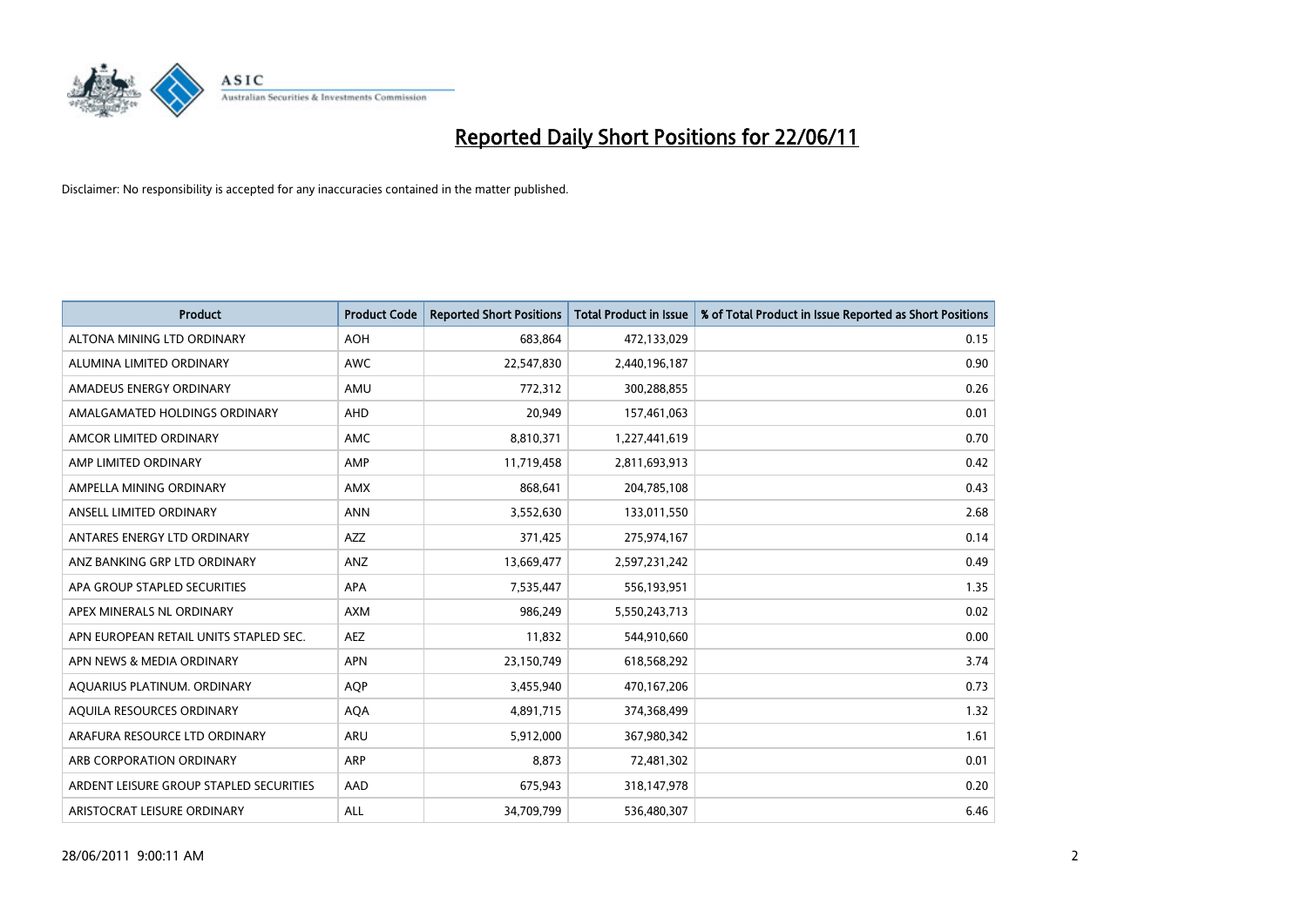

| <b>Product</b>                          | <b>Product Code</b> | <b>Reported Short Positions</b> | <b>Total Product in Issue</b> | % of Total Product in Issue Reported as Short Positions |
|-----------------------------------------|---------------------|---------------------------------|-------------------------------|---------------------------------------------------------|
| ALTONA MINING LTD ORDINARY              | <b>AOH</b>          | 683,864                         | 472,133,029                   | 0.15                                                    |
| ALUMINA LIMITED ORDINARY                | <b>AWC</b>          | 22,547,830                      | 2,440,196,187                 | 0.90                                                    |
| AMADEUS ENERGY ORDINARY                 | AMU                 | 772,312                         | 300,288,855                   | 0.26                                                    |
| AMALGAMATED HOLDINGS ORDINARY           | AHD                 | 20,949                          | 157,461,063                   | 0.01                                                    |
| AMCOR LIMITED ORDINARY                  | <b>AMC</b>          | 8,810,371                       | 1,227,441,619                 | 0.70                                                    |
| AMP LIMITED ORDINARY                    | AMP                 | 11,719,458                      | 2,811,693,913                 | 0.42                                                    |
| AMPELLA MINING ORDINARY                 | <b>AMX</b>          | 868,641                         | 204,785,108                   | 0.43                                                    |
| ANSELL LIMITED ORDINARY                 | <b>ANN</b>          | 3,552,630                       | 133,011,550                   | 2.68                                                    |
| ANTARES ENERGY LTD ORDINARY             | <b>AZZ</b>          | 371,425                         | 275,974,167                   | 0.14                                                    |
| ANZ BANKING GRP LTD ORDINARY            | ANZ                 | 13,669,477                      | 2,597,231,242                 | 0.49                                                    |
| APA GROUP STAPLED SECURITIES            | <b>APA</b>          | 7,535,447                       | 556,193,951                   | 1.35                                                    |
| APEX MINERALS NL ORDINARY               | <b>AXM</b>          | 986.249                         | 5,550,243,713                 | 0.02                                                    |
| APN EUROPEAN RETAIL UNITS STAPLED SEC.  | <b>AEZ</b>          | 11,832                          | 544,910,660                   | 0.00                                                    |
| APN NEWS & MEDIA ORDINARY               | <b>APN</b>          | 23,150,749                      | 618,568,292                   | 3.74                                                    |
| AQUARIUS PLATINUM. ORDINARY             | <b>AOP</b>          | 3,455,940                       | 470,167,206                   | 0.73                                                    |
| AQUILA RESOURCES ORDINARY               | <b>AQA</b>          | 4,891,715                       | 374,368,499                   | 1.32                                                    |
| ARAFURA RESOURCE LTD ORDINARY           | <b>ARU</b>          | 5,912,000                       | 367,980,342                   | 1.61                                                    |
| ARB CORPORATION ORDINARY                | <b>ARP</b>          | 8,873                           | 72,481,302                    | 0.01                                                    |
| ARDENT LEISURE GROUP STAPLED SECURITIES | AAD                 | 675,943                         | 318,147,978                   | 0.20                                                    |
| ARISTOCRAT LEISURE ORDINARY             | <b>ALL</b>          | 34,709,799                      | 536,480,307                   | 6.46                                                    |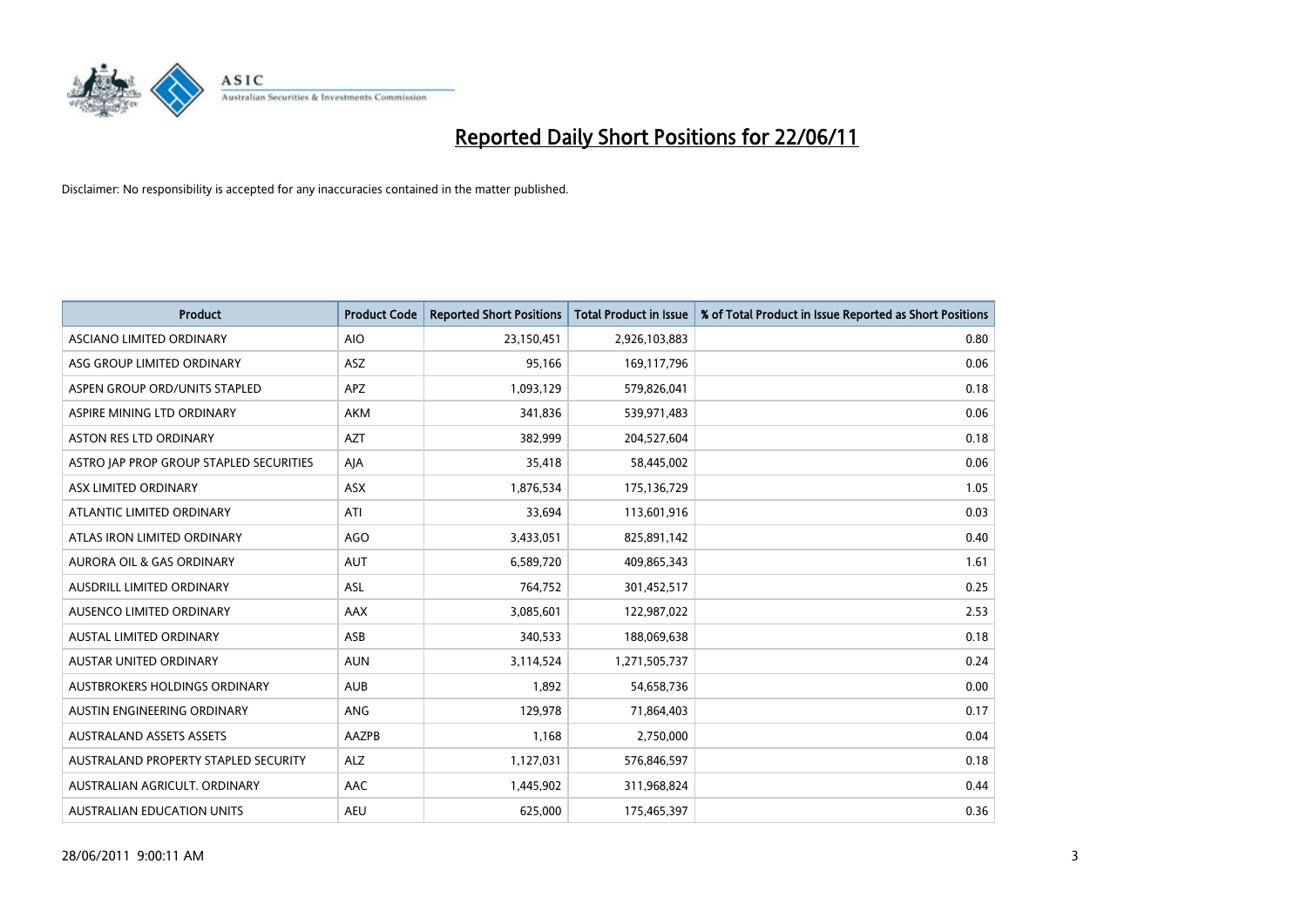

| <b>Product</b>                          | <b>Product Code</b> | <b>Reported Short Positions</b> | <b>Total Product in Issue</b> | % of Total Product in Issue Reported as Short Positions |
|-----------------------------------------|---------------------|---------------------------------|-------------------------------|---------------------------------------------------------|
| ASCIANO LIMITED ORDINARY                | <b>AIO</b>          | 23,150,451                      | 2,926,103,883                 | 0.80                                                    |
| ASG GROUP LIMITED ORDINARY              | ASZ                 | 95,166                          | 169,117,796                   | 0.06                                                    |
| ASPEN GROUP ORD/UNITS STAPLED           | <b>APZ</b>          | 1,093,129                       | 579,826,041                   | 0.18                                                    |
| ASPIRE MINING LTD ORDINARY              | <b>AKM</b>          | 341,836                         | 539,971,483                   | 0.06                                                    |
| <b>ASTON RES LTD ORDINARY</b>           | <b>AZT</b>          | 382,999                         | 204,527,604                   | 0.18                                                    |
| ASTRO JAP PROP GROUP STAPLED SECURITIES | AJA                 | 35,418                          | 58,445,002                    | 0.06                                                    |
| ASX LIMITED ORDINARY                    | <b>ASX</b>          | 1,876,534                       | 175,136,729                   | 1.05                                                    |
| ATLANTIC LIMITED ORDINARY               | ATI                 | 33,694                          | 113,601,916                   | 0.03                                                    |
| ATLAS IRON LIMITED ORDINARY             | <b>AGO</b>          | 3,433,051                       | 825,891,142                   | 0.40                                                    |
| <b>AURORA OIL &amp; GAS ORDINARY</b>    | <b>AUT</b>          | 6,589,720                       | 409,865,343                   | 1.61                                                    |
| AUSDRILL LIMITED ORDINARY               | <b>ASL</b>          | 764,752                         | 301,452,517                   | 0.25                                                    |
| AUSENCO LIMITED ORDINARY                | <b>AAX</b>          | 3,085,601                       | 122,987,022                   | 2.53                                                    |
| <b>AUSTAL LIMITED ORDINARY</b>          | ASB                 | 340,533                         | 188,069,638                   | 0.18                                                    |
| <b>AUSTAR UNITED ORDINARY</b>           | <b>AUN</b>          | 3,114,524                       | 1,271,505,737                 | 0.24                                                    |
| AUSTBROKERS HOLDINGS ORDINARY           | <b>AUB</b>          | 1,892                           | 54,658,736                    | 0.00                                                    |
| AUSTIN ENGINEERING ORDINARY             | ANG                 | 129,978                         | 71,864,403                    | 0.17                                                    |
| <b>AUSTRALAND ASSETS ASSETS</b>         | AAZPB               | 1,168                           | 2,750,000                     | 0.04                                                    |
| AUSTRALAND PROPERTY STAPLED SECURITY    | <b>ALZ</b>          | 1,127,031                       | 576,846,597                   | 0.18                                                    |
| AUSTRALIAN AGRICULT, ORDINARY           | <b>AAC</b>          | 1,445,902                       | 311,968,824                   | 0.44                                                    |
| AUSTRALIAN EDUCATION UNITS              | <b>AEU</b>          | 625.000                         | 175,465,397                   | 0.36                                                    |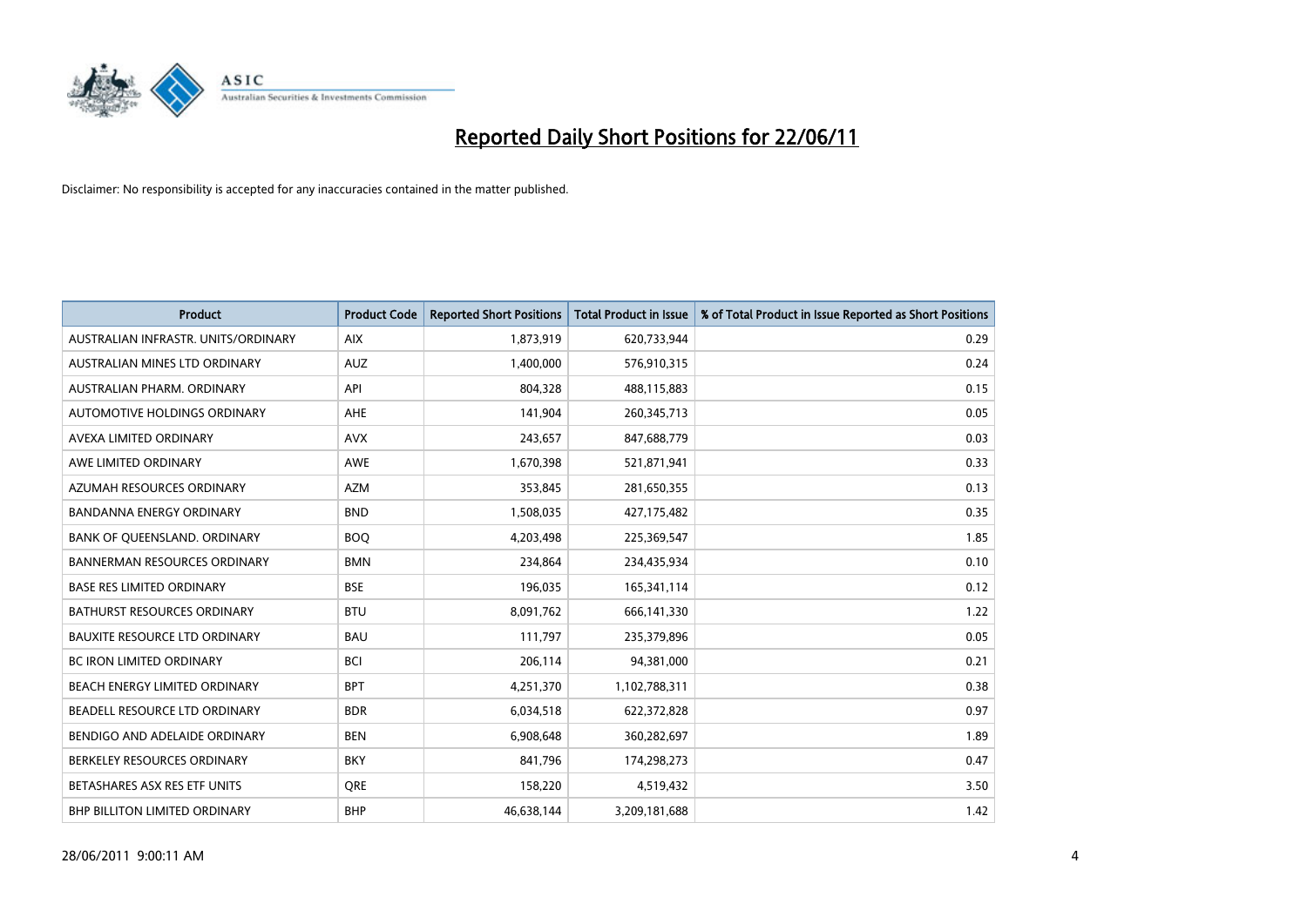

| <b>Product</b>                       | <b>Product Code</b> | <b>Reported Short Positions</b> | <b>Total Product in Issue</b> | % of Total Product in Issue Reported as Short Positions |
|--------------------------------------|---------------------|---------------------------------|-------------------------------|---------------------------------------------------------|
| AUSTRALIAN INFRASTR, UNITS/ORDINARY  | <b>AIX</b>          | 1,873,919                       | 620,733,944                   | 0.29                                                    |
| AUSTRALIAN MINES LTD ORDINARY        | <b>AUZ</b>          | 1,400,000                       | 576,910,315                   | 0.24                                                    |
| AUSTRALIAN PHARM, ORDINARY           | API                 | 804,328                         | 488,115,883                   | 0.15                                                    |
| AUTOMOTIVE HOLDINGS ORDINARY         | <b>AHE</b>          | 141,904                         | 260,345,713                   | 0.05                                                    |
| AVEXA LIMITED ORDINARY               | <b>AVX</b>          | 243,657                         | 847,688,779                   | 0.03                                                    |
| AWE LIMITED ORDINARY                 | AWE                 | 1,670,398                       | 521,871,941                   | 0.33                                                    |
| AZUMAH RESOURCES ORDINARY            | <b>AZM</b>          | 353,845                         | 281,650,355                   | 0.13                                                    |
| <b>BANDANNA ENERGY ORDINARY</b>      | <b>BND</b>          | 1,508,035                       | 427,175,482                   | 0.35                                                    |
| BANK OF QUEENSLAND. ORDINARY         | <b>BOO</b>          | 4,203,498                       | 225,369,547                   | 1.85                                                    |
| <b>BANNERMAN RESOURCES ORDINARY</b>  | <b>BMN</b>          | 234,864                         | 234,435,934                   | 0.10                                                    |
| <b>BASE RES LIMITED ORDINARY</b>     | <b>BSE</b>          | 196,035                         | 165,341,114                   | 0.12                                                    |
| <b>BATHURST RESOURCES ORDINARY</b>   | <b>BTU</b>          | 8,091,762                       | 666,141,330                   | 1.22                                                    |
| <b>BAUXITE RESOURCE LTD ORDINARY</b> | <b>BAU</b>          | 111,797                         | 235,379,896                   | 0.05                                                    |
| <b>BC IRON LIMITED ORDINARY</b>      | <b>BCI</b>          | 206,114                         | 94,381,000                    | 0.21                                                    |
| BEACH ENERGY LIMITED ORDINARY        | <b>BPT</b>          | 4,251,370                       | 1,102,788,311                 | 0.38                                                    |
| BEADELL RESOURCE LTD ORDINARY        | <b>BDR</b>          | 6,034,518                       | 622,372,828                   | 0.97                                                    |
| BENDIGO AND ADELAIDE ORDINARY        | <b>BEN</b>          | 6,908,648                       | 360,282,697                   | 1.89                                                    |
| BERKELEY RESOURCES ORDINARY          | <b>BKY</b>          | 841,796                         | 174,298,273                   | 0.47                                                    |
| BETASHARES ASX RES ETF UNITS         | <b>ORE</b>          | 158,220                         | 4,519,432                     | 3.50                                                    |
| <b>BHP BILLITON LIMITED ORDINARY</b> | <b>BHP</b>          | 46,638,144                      | 3,209,181,688                 | 1.42                                                    |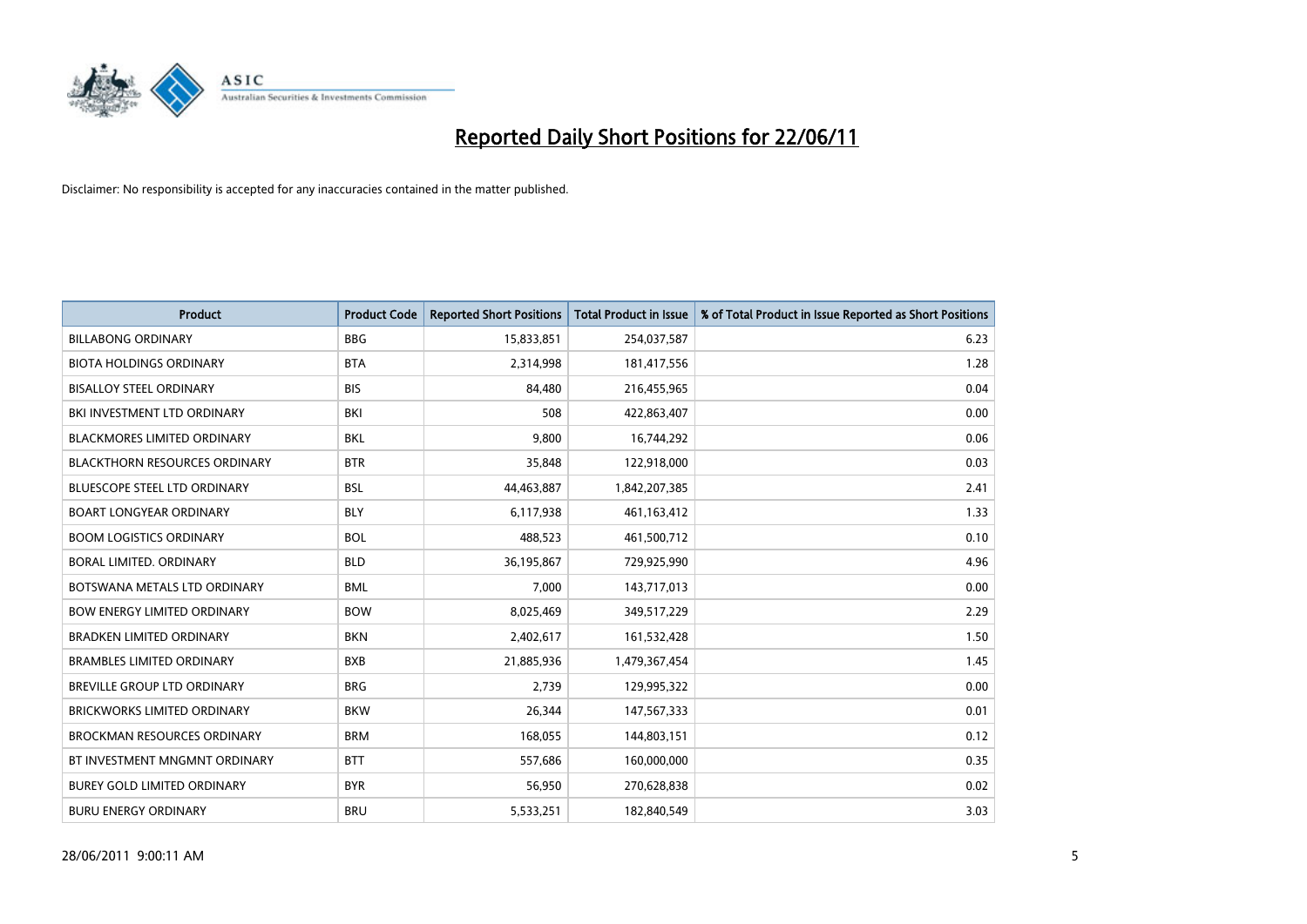

| <b>Product</b>                       | <b>Product Code</b> | <b>Reported Short Positions</b> | <b>Total Product in Issue</b> | % of Total Product in Issue Reported as Short Positions |
|--------------------------------------|---------------------|---------------------------------|-------------------------------|---------------------------------------------------------|
| <b>BILLABONG ORDINARY</b>            | <b>BBG</b>          | 15,833,851                      | 254,037,587                   | 6.23                                                    |
| <b>BIOTA HOLDINGS ORDINARY</b>       | <b>BTA</b>          | 2,314,998                       | 181,417,556                   | 1.28                                                    |
| <b>BISALLOY STEEL ORDINARY</b>       | <b>BIS</b>          | 84.480                          | 216,455,965                   | 0.04                                                    |
| BKI INVESTMENT LTD ORDINARY          | <b>BKI</b>          | 508                             | 422,863,407                   | 0.00                                                    |
| <b>BLACKMORES LIMITED ORDINARY</b>   | <b>BKL</b>          | 9,800                           | 16,744,292                    | 0.06                                                    |
| <b>BLACKTHORN RESOURCES ORDINARY</b> | <b>BTR</b>          | 35,848                          | 122,918,000                   | 0.03                                                    |
| <b>BLUESCOPE STEEL LTD ORDINARY</b>  | <b>BSL</b>          | 44,463,887                      | 1,842,207,385                 | 2.41                                                    |
| <b>BOART LONGYEAR ORDINARY</b>       | <b>BLY</b>          | 6,117,938                       | 461,163,412                   | 1.33                                                    |
| <b>BOOM LOGISTICS ORDINARY</b>       | <b>BOL</b>          | 488,523                         | 461,500,712                   | 0.10                                                    |
| <b>BORAL LIMITED, ORDINARY</b>       | <b>BLD</b>          | 36,195,867                      | 729,925,990                   | 4.96                                                    |
| BOTSWANA METALS LTD ORDINARY         | <b>BML</b>          | 7,000                           | 143,717,013                   | 0.00                                                    |
| <b>BOW ENERGY LIMITED ORDINARY</b>   | <b>BOW</b>          | 8,025,469                       | 349,517,229                   | 2.29                                                    |
| <b>BRADKEN LIMITED ORDINARY</b>      | <b>BKN</b>          | 2,402,617                       | 161,532,428                   | 1.50                                                    |
| <b>BRAMBLES LIMITED ORDINARY</b>     | <b>BXB</b>          | 21,885,936                      | 1,479,367,454                 | 1.45                                                    |
| <b>BREVILLE GROUP LTD ORDINARY</b>   | <b>BRG</b>          | 2,739                           | 129,995,322                   | 0.00                                                    |
| <b>BRICKWORKS LIMITED ORDINARY</b>   | <b>BKW</b>          | 26,344                          | 147,567,333                   | 0.01                                                    |
| <b>BROCKMAN RESOURCES ORDINARY</b>   | <b>BRM</b>          | 168,055                         | 144,803,151                   | 0.12                                                    |
| BT INVESTMENT MNGMNT ORDINARY        | <b>BTT</b>          | 557,686                         | 160,000,000                   | 0.35                                                    |
| <b>BUREY GOLD LIMITED ORDINARY</b>   | <b>BYR</b>          | 56,950                          | 270,628,838                   | 0.02                                                    |
| <b>BURU ENERGY ORDINARY</b>          | <b>BRU</b>          | 5,533,251                       | 182,840,549                   | 3.03                                                    |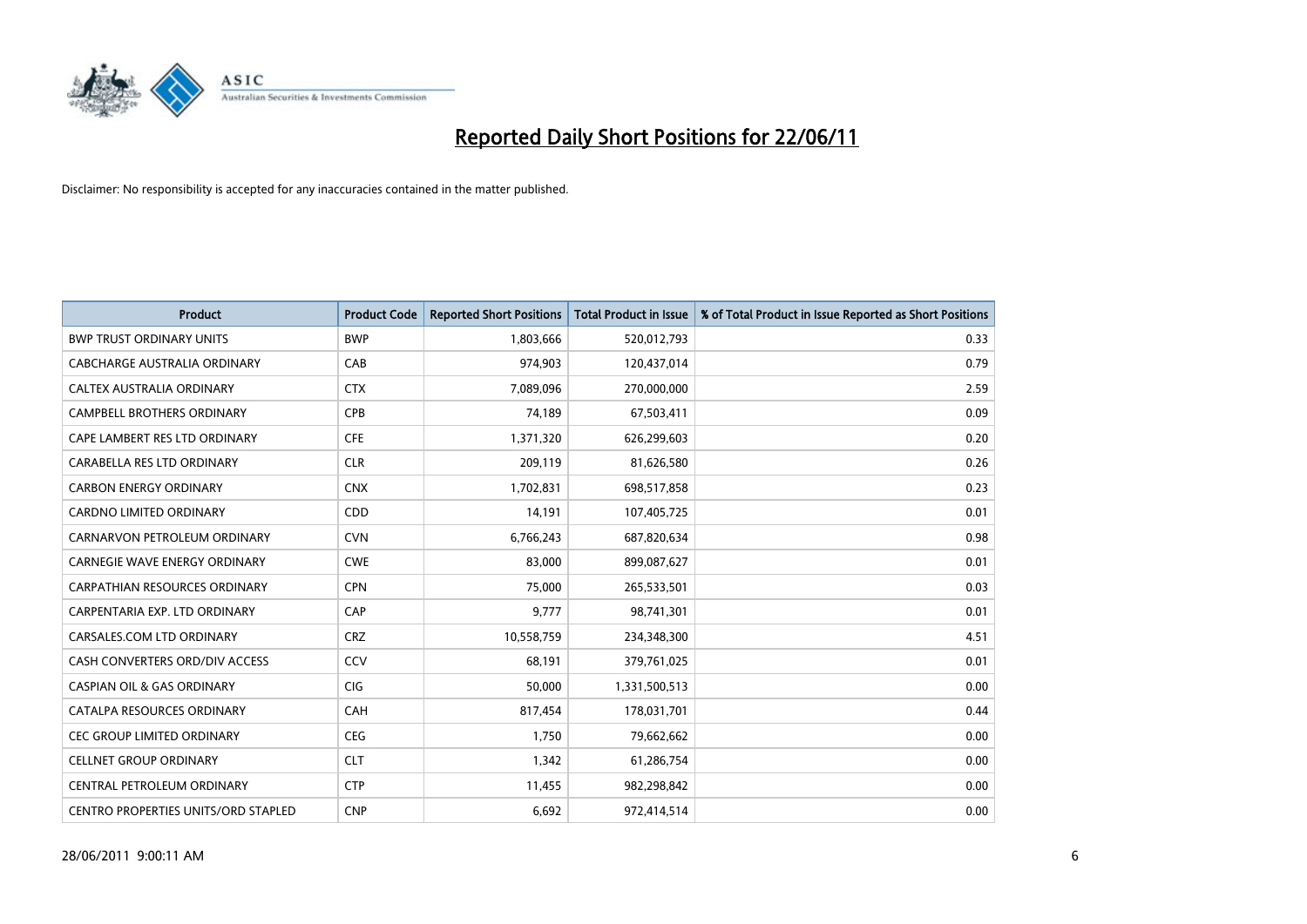

| <b>Product</b>                             | <b>Product Code</b> | <b>Reported Short Positions</b> | <b>Total Product in Issue</b> | % of Total Product in Issue Reported as Short Positions |
|--------------------------------------------|---------------------|---------------------------------|-------------------------------|---------------------------------------------------------|
| <b>BWP TRUST ORDINARY UNITS</b>            | <b>BWP</b>          | 1,803,666                       | 520,012,793                   | 0.33                                                    |
| CABCHARGE AUSTRALIA ORDINARY               | CAB                 | 974,903                         | 120,437,014                   | 0.79                                                    |
| CALTEX AUSTRALIA ORDINARY                  | <b>CTX</b>          | 7,089,096                       | 270,000,000                   | 2.59                                                    |
| CAMPBELL BROTHERS ORDINARY                 | <b>CPB</b>          | 74,189                          | 67,503,411                    | 0.09                                                    |
| CAPE LAMBERT RES LTD ORDINARY              | <b>CFE</b>          | 1,371,320                       | 626,299,603                   | 0.20                                                    |
| CARABELLA RES LTD ORDINARY                 | <b>CLR</b>          | 209,119                         | 81,626,580                    | 0.26                                                    |
| <b>CARBON ENERGY ORDINARY</b>              | <b>CNX</b>          | 1,702,831                       | 698,517,858                   | 0.23                                                    |
| <b>CARDNO LIMITED ORDINARY</b>             | CDD                 | 14,191                          | 107,405,725                   | 0.01                                                    |
| CARNARVON PETROLEUM ORDINARY               | <b>CVN</b>          | 6,766,243                       | 687,820,634                   | 0.98                                                    |
| <b>CARNEGIE WAVE ENERGY ORDINARY</b>       | <b>CWE</b>          | 83,000                          | 899,087,627                   | 0.01                                                    |
| CARPATHIAN RESOURCES ORDINARY              | <b>CPN</b>          | 75,000                          | 265,533,501                   | 0.03                                                    |
| CARPENTARIA EXP. LTD ORDINARY              | CAP                 | 9.777                           | 98,741,301                    | 0.01                                                    |
| CARSALES.COM LTD ORDINARY                  | <b>CRZ</b>          | 10,558,759                      | 234,348,300                   | 4.51                                                    |
| CASH CONVERTERS ORD/DIV ACCESS             | CCV                 | 68,191                          | 379,761,025                   | 0.01                                                    |
| <b>CASPIAN OIL &amp; GAS ORDINARY</b>      | CIG                 | 50,000                          | 1,331,500,513                 | 0.00                                                    |
| CATALPA RESOURCES ORDINARY                 | CAH                 | 817,454                         | 178,031,701                   | 0.44                                                    |
| <b>CEC GROUP LIMITED ORDINARY</b>          | <b>CEG</b>          | 1,750                           | 79,662,662                    | 0.00                                                    |
| <b>CELLNET GROUP ORDINARY</b>              | <b>CLT</b>          | 1,342                           | 61,286,754                    | 0.00                                                    |
| CENTRAL PETROLEUM ORDINARY                 | <b>CTP</b>          | 11,455                          | 982,298,842                   | 0.00                                                    |
| <b>CENTRO PROPERTIES UNITS/ORD STAPLED</b> | <b>CNP</b>          | 6,692                           | 972,414,514                   | 0.00                                                    |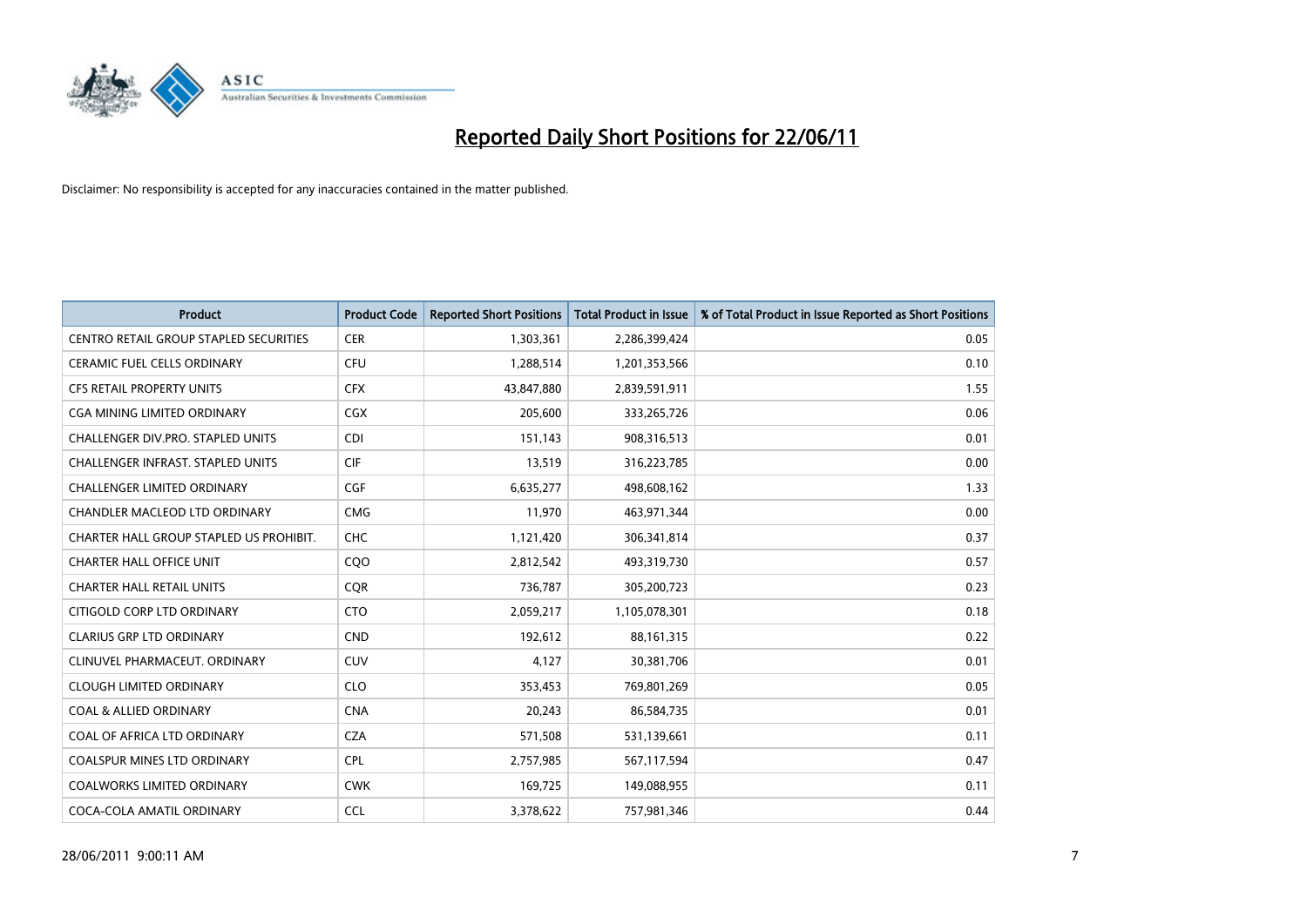

| <b>Product</b>                          | <b>Product Code</b> | <b>Reported Short Positions</b> | Total Product in Issue | % of Total Product in Issue Reported as Short Positions |
|-----------------------------------------|---------------------|---------------------------------|------------------------|---------------------------------------------------------|
| CENTRO RETAIL GROUP STAPLED SECURITIES  | <b>CER</b>          | 1,303,361                       | 2,286,399,424          | 0.05                                                    |
| CERAMIC FUEL CELLS ORDINARY             | <b>CFU</b>          | 1,288,514                       | 1,201,353,566          | 0.10                                                    |
| <b>CFS RETAIL PROPERTY UNITS</b>        | <b>CFX</b>          | 43,847,880                      | 2,839,591,911          | 1.55                                                    |
| CGA MINING LIMITED ORDINARY             | <b>CGX</b>          | 205,600                         | 333,265,726            | 0.06                                                    |
| CHALLENGER DIV.PRO. STAPLED UNITS       | <b>CDI</b>          | 151,143                         | 908,316,513            | 0.01                                                    |
| CHALLENGER INFRAST. STAPLED UNITS       | <b>CIF</b>          | 13,519                          | 316,223,785            | 0.00                                                    |
| <b>CHALLENGER LIMITED ORDINARY</b>      | CGF                 | 6,635,277                       | 498,608,162            | 1.33                                                    |
| CHANDLER MACLEOD LTD ORDINARY           | <b>CMG</b>          | 11,970                          | 463,971,344            | 0.00                                                    |
| CHARTER HALL GROUP STAPLED US PROHIBIT. | <b>CHC</b>          | 1,121,420                       | 306,341,814            | 0.37                                                    |
| <b>CHARTER HALL OFFICE UNIT</b>         | CQO                 | 2,812,542                       | 493,319,730            | 0.57                                                    |
| <b>CHARTER HALL RETAIL UNITS</b>        | <b>CQR</b>          | 736,787                         | 305,200,723            | 0.23                                                    |
| CITIGOLD CORP LTD ORDINARY              | <b>CTO</b>          | 2,059,217                       | 1,105,078,301          | 0.18                                                    |
| <b>CLARIUS GRP LTD ORDINARY</b>         | <b>CND</b>          | 192,612                         | 88, 161, 315           | 0.22                                                    |
| CLINUVEL PHARMACEUT, ORDINARY           | <b>CUV</b>          | 4,127                           | 30,381,706             | 0.01                                                    |
| <b>CLOUGH LIMITED ORDINARY</b>          | <b>CLO</b>          | 353,453                         | 769,801,269            | 0.05                                                    |
| <b>COAL &amp; ALLIED ORDINARY</b>       | <b>CNA</b>          | 20,243                          | 86,584,735             | 0.01                                                    |
| COAL OF AFRICA LTD ORDINARY             | <b>CZA</b>          | 571,508                         | 531,139,661            | 0.11                                                    |
| COALSPUR MINES LTD ORDINARY             | <b>CPL</b>          | 2,757,985                       | 567,117,594            | 0.47                                                    |
| <b>COALWORKS LIMITED ORDINARY</b>       | <b>CWK</b>          | 169,725                         | 149,088,955            | 0.11                                                    |
| COCA-COLA AMATIL ORDINARY               | <b>CCL</b>          | 3,378,622                       | 757,981,346            | 0.44                                                    |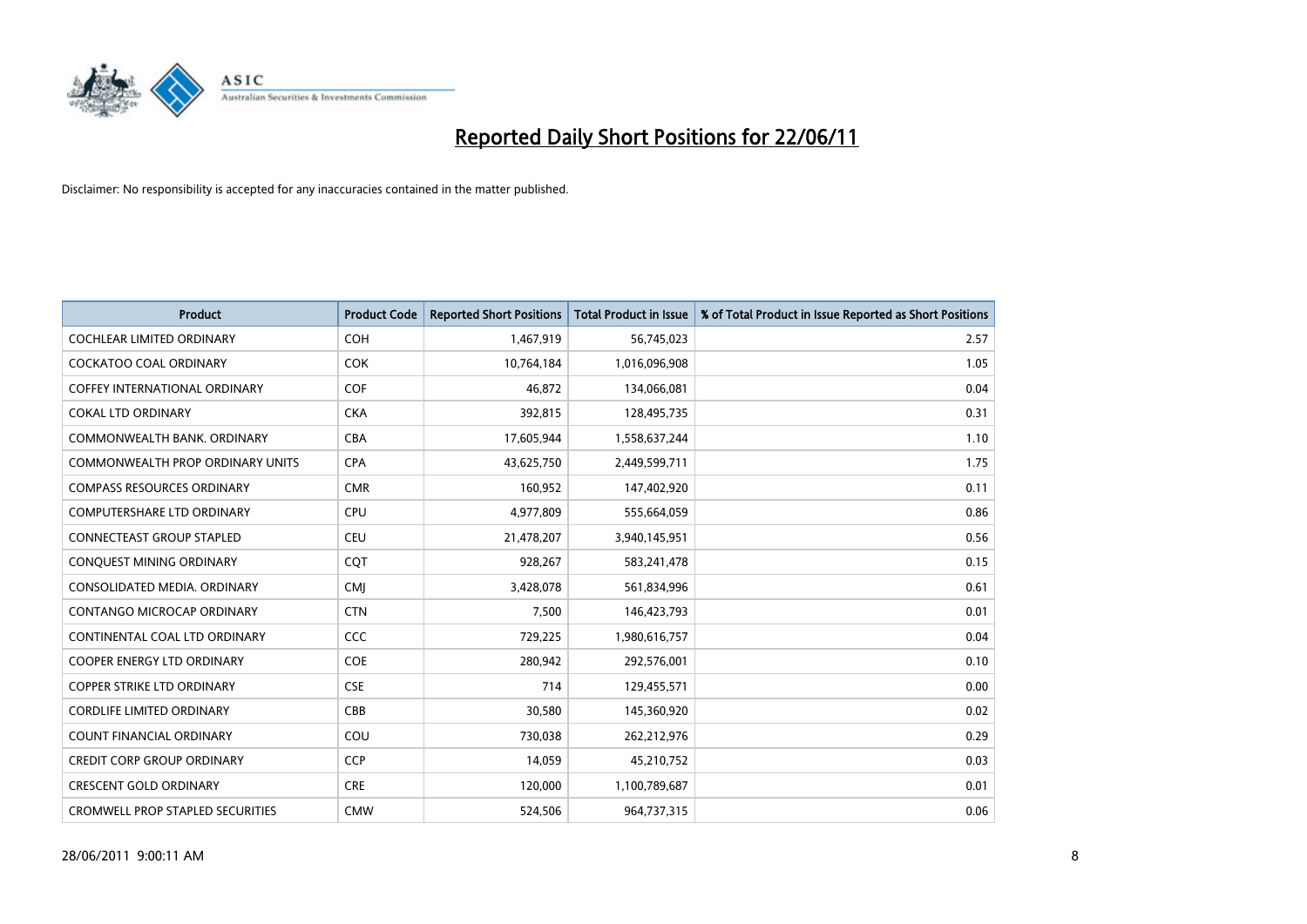

| <b>Product</b>                          | <b>Product Code</b> | <b>Reported Short Positions</b> | <b>Total Product in Issue</b> | % of Total Product in Issue Reported as Short Positions |
|-----------------------------------------|---------------------|---------------------------------|-------------------------------|---------------------------------------------------------|
| <b>COCHLEAR LIMITED ORDINARY</b>        | <b>COH</b>          | 1,467,919                       | 56,745,023                    | 2.57                                                    |
| COCKATOO COAL ORDINARY                  | <b>COK</b>          | 10,764,184                      | 1,016,096,908                 | 1.05                                                    |
| <b>COFFEY INTERNATIONAL ORDINARY</b>    | <b>COF</b>          | 46.872                          | 134,066,081                   | 0.04                                                    |
| <b>COKAL LTD ORDINARY</b>               | <b>CKA</b>          | 392,815                         | 128,495,735                   | 0.31                                                    |
| COMMONWEALTH BANK, ORDINARY             | CBA                 | 17,605,944                      | 1,558,637,244                 | 1.10                                                    |
| <b>COMMONWEALTH PROP ORDINARY UNITS</b> | <b>CPA</b>          | 43,625,750                      | 2,449,599,711                 | 1.75                                                    |
| <b>COMPASS RESOURCES ORDINARY</b>       | <b>CMR</b>          | 160,952                         | 147,402,920                   | 0.11                                                    |
| <b>COMPUTERSHARE LTD ORDINARY</b>       | CPU                 | 4,977,809                       | 555,664,059                   | 0.86                                                    |
| CONNECTEAST GROUP STAPLED               | CEU                 | 21,478,207                      | 3,940,145,951                 | 0.56                                                    |
| CONQUEST MINING ORDINARY                | <b>COT</b>          | 928,267                         | 583,241,478                   | 0.15                                                    |
| CONSOLIDATED MEDIA, ORDINARY            | <b>CMJ</b>          | 3,428,078                       | 561,834,996                   | 0.61                                                    |
| CONTANGO MICROCAP ORDINARY              | <b>CTN</b>          | 7,500                           | 146,423,793                   | 0.01                                                    |
| CONTINENTAL COAL LTD ORDINARY           | CCC                 | 729,225                         | 1,980,616,757                 | 0.04                                                    |
| <b>COOPER ENERGY LTD ORDINARY</b>       | <b>COE</b>          | 280,942                         | 292,576,001                   | 0.10                                                    |
| <b>COPPER STRIKE LTD ORDINARY</b>       | <b>CSE</b>          | 714                             | 129,455,571                   | 0.00                                                    |
| <b>CORDLIFE LIMITED ORDINARY</b>        | CBB                 | 30,580                          | 145,360,920                   | 0.02                                                    |
| <b>COUNT FINANCIAL ORDINARY</b>         | COU                 | 730,038                         | 262,212,976                   | 0.29                                                    |
| <b>CREDIT CORP GROUP ORDINARY</b>       | <b>CCP</b>          | 14,059                          | 45,210,752                    | 0.03                                                    |
| <b>CRESCENT GOLD ORDINARY</b>           | <b>CRE</b>          | 120,000                         | 1,100,789,687                 | 0.01                                                    |
| <b>CROMWELL PROP STAPLED SECURITIES</b> | <b>CMW</b>          | 524,506                         | 964,737,315                   | 0.06                                                    |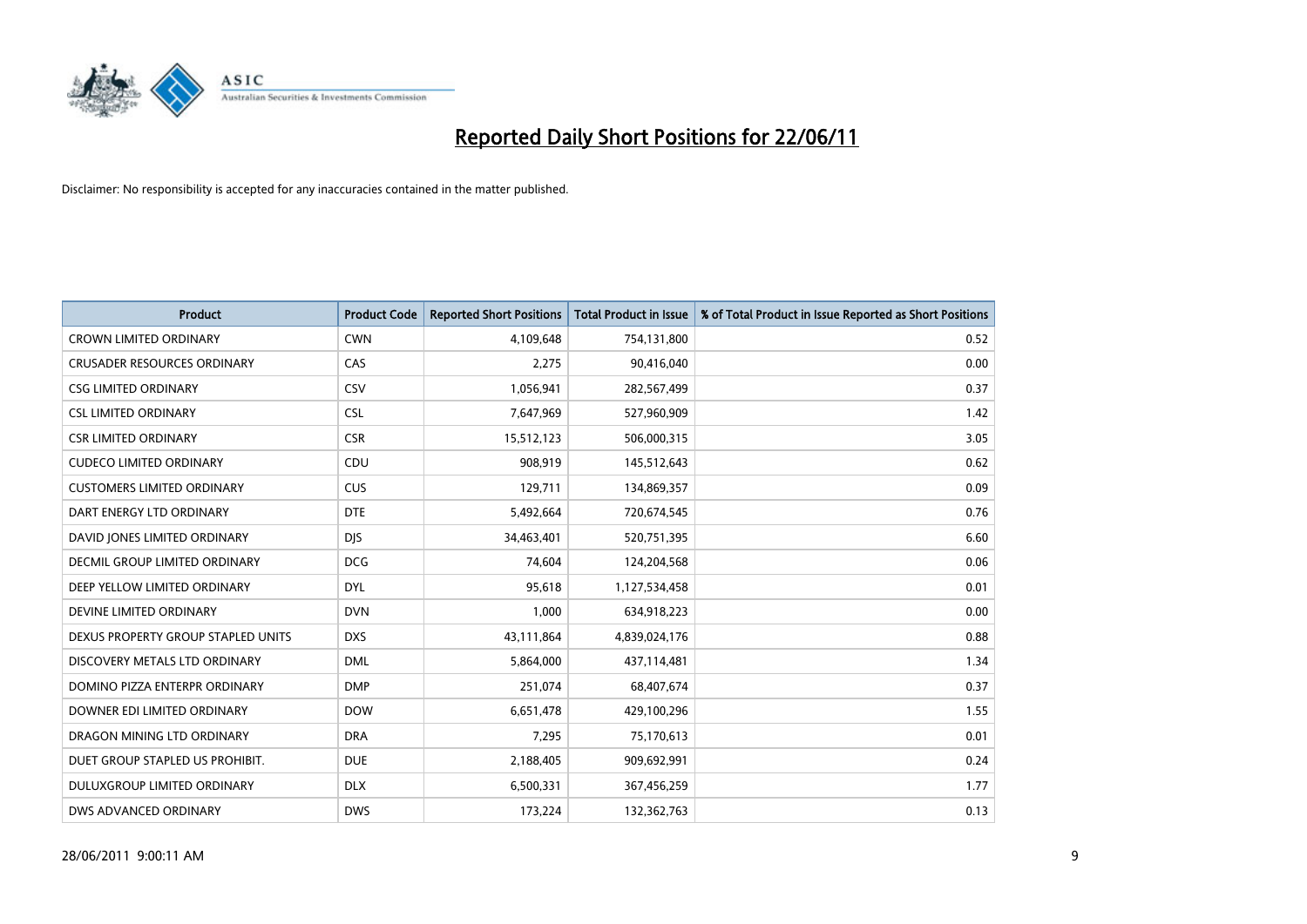

| <b>Product</b>                     | <b>Product Code</b> | <b>Reported Short Positions</b> | Total Product in Issue | % of Total Product in Issue Reported as Short Positions |
|------------------------------------|---------------------|---------------------------------|------------------------|---------------------------------------------------------|
| <b>CROWN LIMITED ORDINARY</b>      | <b>CWN</b>          | 4,109,648                       | 754,131,800            | 0.52                                                    |
| <b>CRUSADER RESOURCES ORDINARY</b> | CAS                 | 2,275                           | 90,416,040             | 0.00                                                    |
| <b>CSG LIMITED ORDINARY</b>        | CSV                 | 1,056,941                       | 282,567,499            | 0.37                                                    |
| <b>CSL LIMITED ORDINARY</b>        | <b>CSL</b>          | 7,647,969                       | 527,960,909            | 1.42                                                    |
| <b>CSR LIMITED ORDINARY</b>        | <b>CSR</b>          | 15,512,123                      | 506,000,315            | 3.05                                                    |
| <b>CUDECO LIMITED ORDINARY</b>     | CDU                 | 908,919                         | 145,512,643            | 0.62                                                    |
| <b>CUSTOMERS LIMITED ORDINARY</b>  | CUS                 | 129,711                         | 134,869,357            | 0.09                                                    |
| DART ENERGY LTD ORDINARY           | <b>DTE</b>          | 5,492,664                       | 720,674,545            | 0.76                                                    |
| DAVID JONES LIMITED ORDINARY       | <b>DIS</b>          | 34,463,401                      | 520,751,395            | 6.60                                                    |
| DECMIL GROUP LIMITED ORDINARY      | <b>DCG</b>          | 74,604                          | 124,204,568            | 0.06                                                    |
| DEEP YELLOW LIMITED ORDINARY       | <b>DYL</b>          | 95,618                          | 1,127,534,458          | 0.01                                                    |
| DEVINE LIMITED ORDINARY            | <b>DVN</b>          | 1,000                           | 634,918,223            | 0.00                                                    |
| DEXUS PROPERTY GROUP STAPLED UNITS | <b>DXS</b>          | 43,111,864                      | 4,839,024,176          | 0.88                                                    |
| DISCOVERY METALS LTD ORDINARY      | <b>DML</b>          | 5,864,000                       | 437,114,481            | 1.34                                                    |
| DOMINO PIZZA ENTERPR ORDINARY      | <b>DMP</b>          | 251,074                         | 68,407,674             | 0.37                                                    |
| DOWNER EDI LIMITED ORDINARY        | <b>DOW</b>          | 6,651,478                       | 429,100,296            | 1.55                                                    |
| DRAGON MINING LTD ORDINARY         | <b>DRA</b>          | 7,295                           | 75,170,613             | 0.01                                                    |
| DUET GROUP STAPLED US PROHIBIT.    | <b>DUE</b>          | 2,188,405                       | 909,692,991            | 0.24                                                    |
| DULUXGROUP LIMITED ORDINARY        | <b>DLX</b>          | 6,500,331                       | 367,456,259            | 1.77                                                    |
| DWS ADVANCED ORDINARY              | <b>DWS</b>          | 173,224                         | 132,362,763            | 0.13                                                    |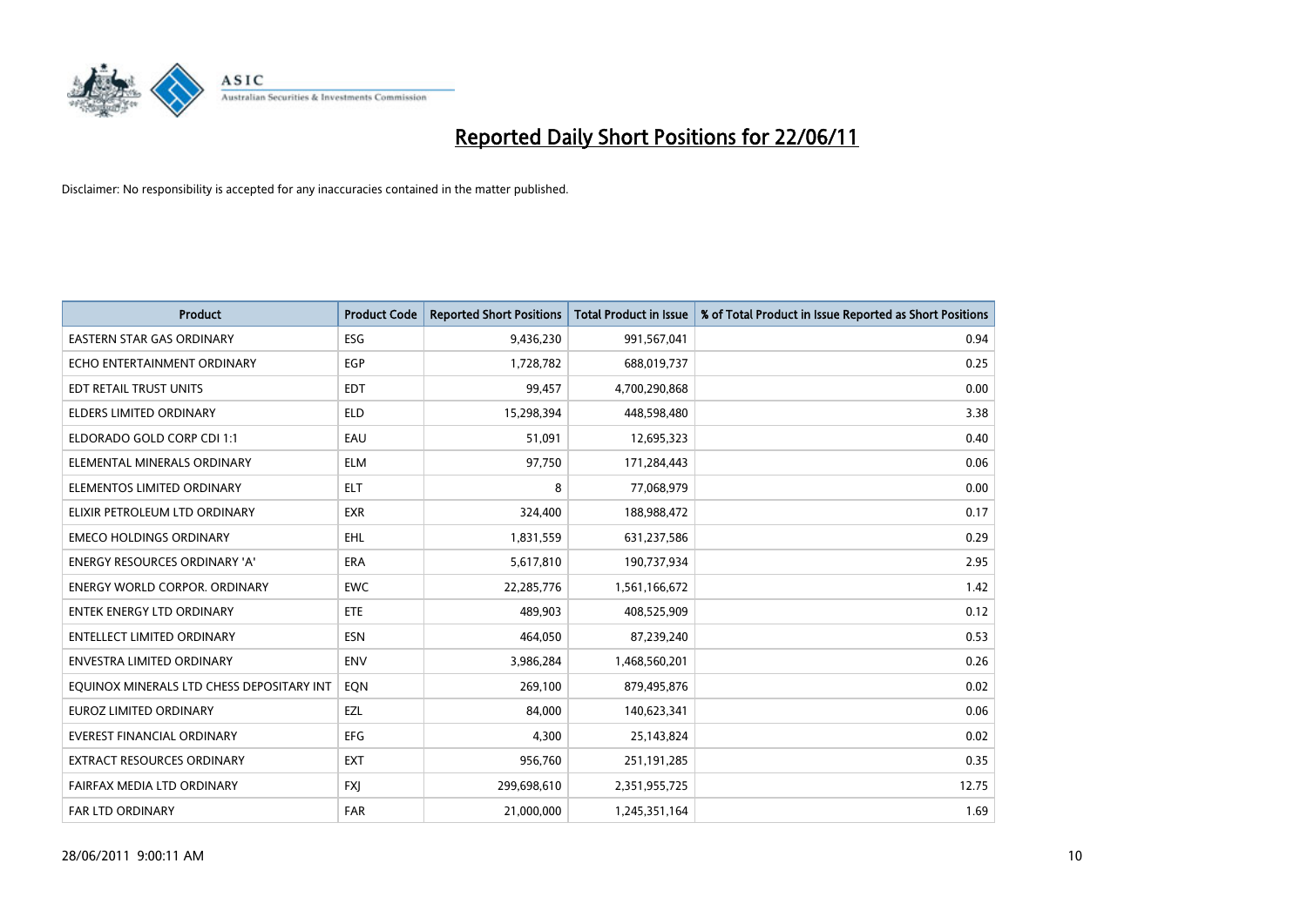

| <b>Product</b>                            | <b>Product Code</b> | <b>Reported Short Positions</b> | <b>Total Product in Issue</b> | % of Total Product in Issue Reported as Short Positions |
|-------------------------------------------|---------------------|---------------------------------|-------------------------------|---------------------------------------------------------|
| <b>EASTERN STAR GAS ORDINARY</b>          | ESG                 | 9,436,230                       | 991,567,041                   | 0.94                                                    |
| ECHO ENTERTAINMENT ORDINARY               | <b>EGP</b>          | 1,728,782                       | 688,019,737                   | 0.25                                                    |
| EDT RETAIL TRUST UNITS                    | <b>EDT</b>          | 99,457                          | 4,700,290,868                 | 0.00                                                    |
| ELDERS LIMITED ORDINARY                   | <b>ELD</b>          | 15,298,394                      | 448,598,480                   | 3.38                                                    |
| ELDORADO GOLD CORP CDI 1:1                | EAU                 | 51,091                          | 12,695,323                    | 0.40                                                    |
| ELEMENTAL MINERALS ORDINARY               | <b>ELM</b>          | 97,750                          | 171,284,443                   | 0.06                                                    |
| ELEMENTOS LIMITED ORDINARY                | <b>ELT</b>          | 8                               | 77,068,979                    | 0.00                                                    |
| ELIXIR PETROLEUM LTD ORDINARY             | <b>EXR</b>          | 324,400                         | 188,988,472                   | 0.17                                                    |
| <b>EMECO HOLDINGS ORDINARY</b>            | <b>EHL</b>          | 1,831,559                       | 631,237,586                   | 0.29                                                    |
| <b>ENERGY RESOURCES ORDINARY 'A'</b>      | <b>ERA</b>          | 5,617,810                       | 190,737,934                   | 2.95                                                    |
| ENERGY WORLD CORPOR. ORDINARY             | <b>EWC</b>          | 22,285,776                      | 1,561,166,672                 | 1.42                                                    |
| <b>ENTEK ENERGY LTD ORDINARY</b>          | <b>ETE</b>          | 489,903                         | 408,525,909                   | 0.12                                                    |
| <b>ENTELLECT LIMITED ORDINARY</b>         | <b>ESN</b>          | 464,050                         | 87,239,240                    | 0.53                                                    |
| <b>ENVESTRA LIMITED ORDINARY</b>          | <b>ENV</b>          | 3,986,284                       | 1,468,560,201                 | 0.26                                                    |
| EQUINOX MINERALS LTD CHESS DEPOSITARY INT | EQN                 | 269,100                         | 879,495,876                   | 0.02                                                    |
| <b>EUROZ LIMITED ORDINARY</b>             | EZL                 | 84,000                          | 140,623,341                   | 0.06                                                    |
| EVEREST FINANCIAL ORDINARY                | EFG                 | 4,300                           | 25,143,824                    | 0.02                                                    |
| EXTRACT RESOURCES ORDINARY                | <b>EXT</b>          | 956,760                         | 251,191,285                   | 0.35                                                    |
| FAIRFAX MEDIA LTD ORDINARY                | <b>FXI</b>          | 299,698,610                     | 2,351,955,725                 | 12.75                                                   |
| FAR LTD ORDINARY                          | <b>FAR</b>          | 21,000,000                      | 1,245,351,164                 | 1.69                                                    |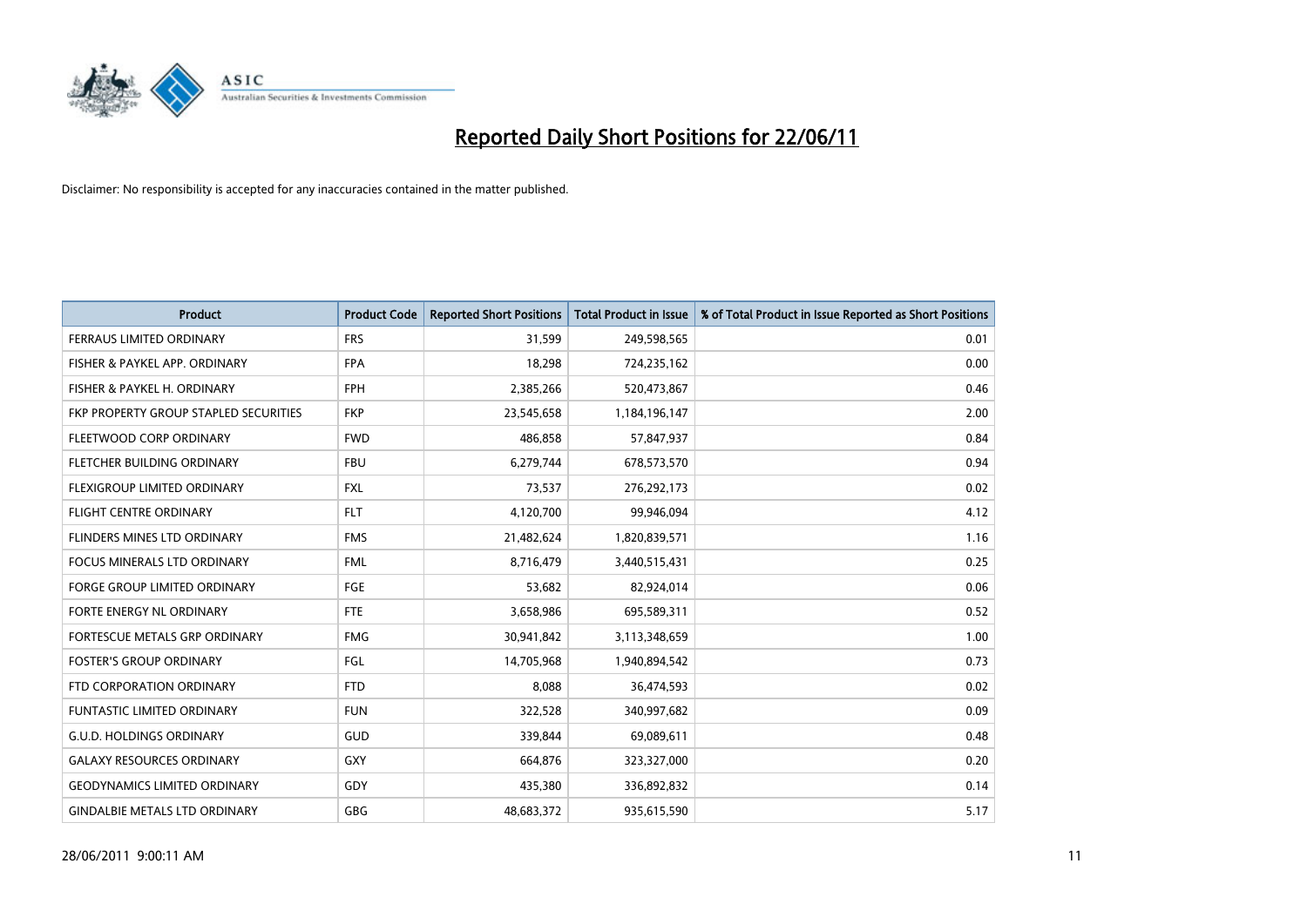

| <b>Product</b>                        | <b>Product Code</b> | <b>Reported Short Positions</b> | <b>Total Product in Issue</b> | % of Total Product in Issue Reported as Short Positions |
|---------------------------------------|---------------------|---------------------------------|-------------------------------|---------------------------------------------------------|
| <b>FERRAUS LIMITED ORDINARY</b>       | <b>FRS</b>          | 31,599                          | 249,598,565                   | 0.01                                                    |
| FISHER & PAYKEL APP. ORDINARY         | <b>FPA</b>          | 18,298                          | 724,235,162                   | 0.00                                                    |
| FISHER & PAYKEL H. ORDINARY           | <b>FPH</b>          | 2,385,266                       | 520,473,867                   | 0.46                                                    |
| FKP PROPERTY GROUP STAPLED SECURITIES | <b>FKP</b>          | 23,545,658                      | 1,184,196,147                 | 2.00                                                    |
| FLEETWOOD CORP ORDINARY               | <b>FWD</b>          | 486,858                         | 57,847,937                    | 0.84                                                    |
| FLETCHER BUILDING ORDINARY            | <b>FBU</b>          | 6,279,744                       | 678,573,570                   | 0.94                                                    |
| <b>FLEXIGROUP LIMITED ORDINARY</b>    | <b>FXL</b>          | 73,537                          | 276,292,173                   | 0.02                                                    |
| <b>FLIGHT CENTRE ORDINARY</b>         | <b>FLT</b>          | 4,120,700                       | 99,946,094                    | 4.12                                                    |
| FLINDERS MINES LTD ORDINARY           | <b>FMS</b>          | 21,482,624                      | 1,820,839,571                 | 1.16                                                    |
| <b>FOCUS MINERALS LTD ORDINARY</b>    | <b>FML</b>          | 8,716,479                       | 3,440,515,431                 | 0.25                                                    |
| FORGE GROUP LIMITED ORDINARY          | <b>FGE</b>          | 53,682                          | 82,924,014                    | 0.06                                                    |
| FORTE ENERGY NL ORDINARY              | FTE                 | 3,658,986                       | 695,589,311                   | 0.52                                                    |
| FORTESCUE METALS GRP ORDINARY         | <b>FMG</b>          | 30,941,842                      | 3,113,348,659                 | 1.00                                                    |
| <b>FOSTER'S GROUP ORDINARY</b>        | FGL                 | 14,705,968                      | 1,940,894,542                 | 0.73                                                    |
| FTD CORPORATION ORDINARY              | <b>FTD</b>          | 8,088                           | 36,474,593                    | 0.02                                                    |
| <b>FUNTASTIC LIMITED ORDINARY</b>     | <b>FUN</b>          | 322,528                         | 340,997,682                   | 0.09                                                    |
| <b>G.U.D. HOLDINGS ORDINARY</b>       | GUD                 | 339,844                         | 69,089,611                    | 0.48                                                    |
| <b>GALAXY RESOURCES ORDINARY</b>      | <b>GXY</b>          | 664,876                         | 323,327,000                   | 0.20                                                    |
| <b>GEODYNAMICS LIMITED ORDINARY</b>   | GDY                 | 435,380                         | 336,892,832                   | 0.14                                                    |
| <b>GINDALBIE METALS LTD ORDINARY</b>  | <b>GBG</b>          | 48,683,372                      | 935,615,590                   | 5.17                                                    |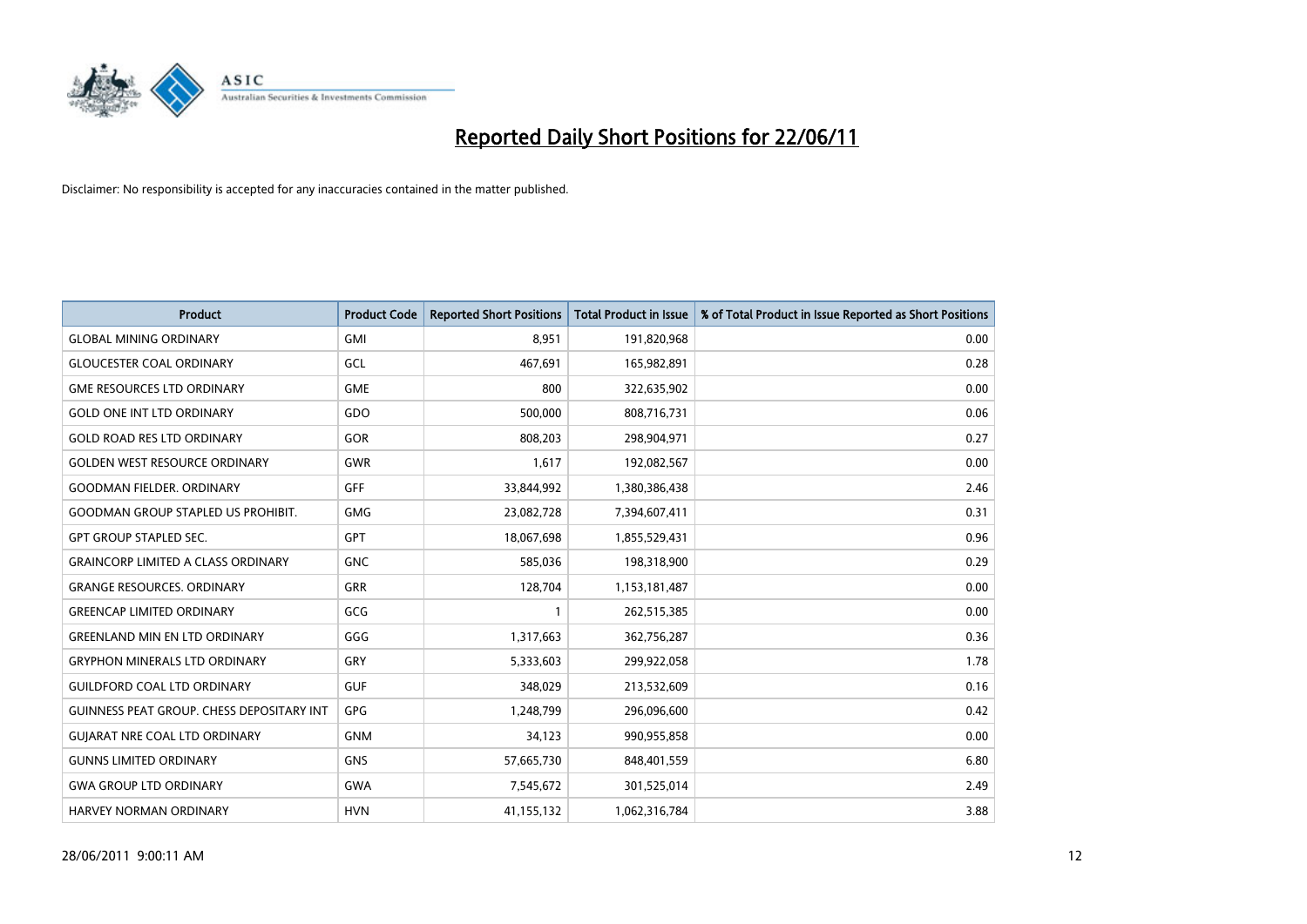

| <b>Product</b>                                   | <b>Product Code</b> | <b>Reported Short Positions</b> | <b>Total Product in Issue</b> | % of Total Product in Issue Reported as Short Positions |
|--------------------------------------------------|---------------------|---------------------------------|-------------------------------|---------------------------------------------------------|
| <b>GLOBAL MINING ORDINARY</b>                    | <b>GMI</b>          | 8.951                           | 191,820,968                   | 0.00                                                    |
| <b>GLOUCESTER COAL ORDINARY</b>                  | GCL                 | 467,691                         | 165,982,891                   | 0.28                                                    |
| <b>GME RESOURCES LTD ORDINARY</b>                | <b>GME</b>          | 800                             | 322,635,902                   | 0.00                                                    |
| <b>GOLD ONE INT LTD ORDINARY</b>                 | GDO                 | 500,000                         | 808,716,731                   | 0.06                                                    |
| <b>GOLD ROAD RES LTD ORDINARY</b>                | GOR                 | 808,203                         | 298,904,971                   | 0.27                                                    |
| <b>GOLDEN WEST RESOURCE ORDINARY</b>             | <b>GWR</b>          | 1,617                           | 192,082,567                   | 0.00                                                    |
| <b>GOODMAN FIELDER, ORDINARY</b>                 | <b>GFF</b>          | 33,844,992                      | 1,380,386,438                 | 2.46                                                    |
| <b>GOODMAN GROUP STAPLED US PROHIBIT.</b>        | <b>GMG</b>          | 23,082,728                      | 7,394,607,411                 | 0.31                                                    |
| <b>GPT GROUP STAPLED SEC.</b>                    | GPT                 | 18,067,698                      | 1,855,529,431                 | 0.96                                                    |
| <b>GRAINCORP LIMITED A CLASS ORDINARY</b>        | <b>GNC</b>          | 585,036                         | 198,318,900                   | 0.29                                                    |
| <b>GRANGE RESOURCES. ORDINARY</b>                | <b>GRR</b>          | 128,704                         | 1,153,181,487                 | 0.00                                                    |
| <b>GREENCAP LIMITED ORDINARY</b>                 | GCG                 |                                 | 262,515,385                   | 0.00                                                    |
| <b>GREENLAND MIN EN LTD ORDINARY</b>             | GGG                 | 1,317,663                       | 362,756,287                   | 0.36                                                    |
| <b>GRYPHON MINERALS LTD ORDINARY</b>             | GRY                 | 5,333,603                       | 299,922,058                   | 1.78                                                    |
| <b>GUILDFORD COAL LTD ORDINARY</b>               | <b>GUF</b>          | 348.029                         | 213,532,609                   | 0.16                                                    |
| <b>GUINNESS PEAT GROUP. CHESS DEPOSITARY INT</b> | <b>GPG</b>          | 1,248,799                       | 296,096,600                   | 0.42                                                    |
| <b>GUIARAT NRE COAL LTD ORDINARY</b>             | <b>GNM</b>          | 34,123                          | 990,955,858                   | 0.00                                                    |
| <b>GUNNS LIMITED ORDINARY</b>                    | <b>GNS</b>          | 57,665,730                      | 848,401,559                   | 6.80                                                    |
| <b>GWA GROUP LTD ORDINARY</b>                    | <b>GWA</b>          | 7,545,672                       | 301,525,014                   | 2.49                                                    |
| HARVEY NORMAN ORDINARY                           | <b>HVN</b>          | 41,155,132                      | 1,062,316,784                 | 3.88                                                    |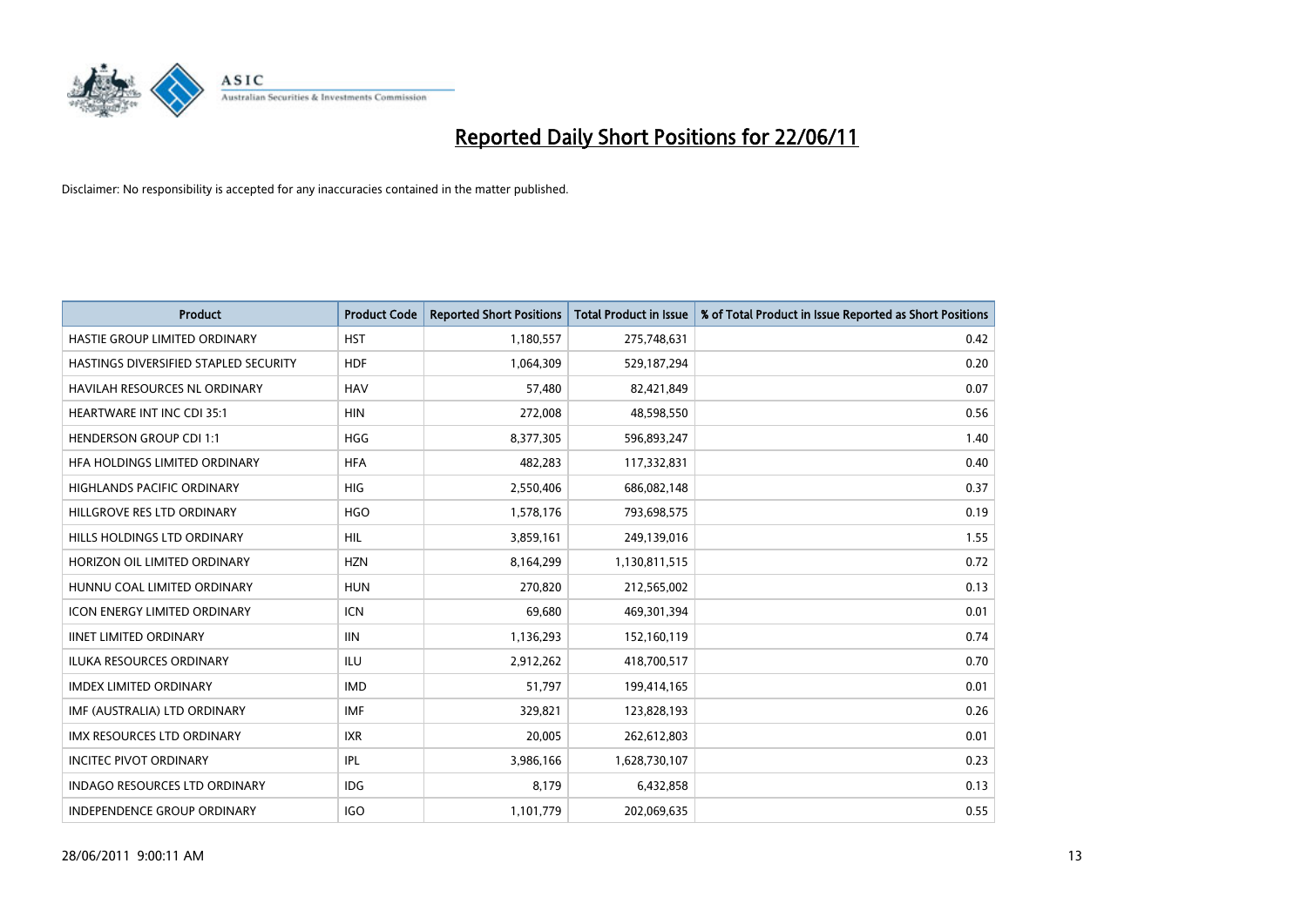

| <b>Product</b>                        | <b>Product Code</b> | <b>Reported Short Positions</b> | <b>Total Product in Issue</b> | % of Total Product in Issue Reported as Short Positions |
|---------------------------------------|---------------------|---------------------------------|-------------------------------|---------------------------------------------------------|
| HASTIE GROUP LIMITED ORDINARY         | <b>HST</b>          | 1,180,557                       | 275,748,631                   | 0.42                                                    |
| HASTINGS DIVERSIFIED STAPLED SECURITY | <b>HDF</b>          | 1,064,309                       | 529,187,294                   | 0.20                                                    |
| <b>HAVILAH RESOURCES NL ORDINARY</b>  | <b>HAV</b>          | 57,480                          | 82,421,849                    | 0.07                                                    |
| HEARTWARE INT INC CDI 35:1            | <b>HIN</b>          | 272,008                         | 48,598,550                    | 0.56                                                    |
| <b>HENDERSON GROUP CDI 1:1</b>        | <b>HGG</b>          | 8,377,305                       | 596,893,247                   | 1.40                                                    |
| HFA HOLDINGS LIMITED ORDINARY         | <b>HFA</b>          | 482,283                         | 117,332,831                   | 0.40                                                    |
| <b>HIGHLANDS PACIFIC ORDINARY</b>     | <b>HIG</b>          | 2,550,406                       | 686,082,148                   | 0.37                                                    |
| HILLGROVE RES LTD ORDINARY            | <b>HGO</b>          | 1,578,176                       | 793,698,575                   | 0.19                                                    |
| HILLS HOLDINGS LTD ORDINARY           | HIL                 | 3,859,161                       | 249,139,016                   | 1.55                                                    |
| HORIZON OIL LIMITED ORDINARY          | <b>HZN</b>          | 8,164,299                       | 1,130,811,515                 | 0.72                                                    |
| HUNNU COAL LIMITED ORDINARY           | <b>HUN</b>          | 270,820                         | 212,565,002                   | 0.13                                                    |
| <b>ICON ENERGY LIMITED ORDINARY</b>   | <b>ICN</b>          | 69,680                          | 469,301,394                   | 0.01                                                    |
| <b>IINET LIMITED ORDINARY</b>         | <b>IIN</b>          | 1,136,293                       | 152,160,119                   | 0.74                                                    |
| <b>ILUKA RESOURCES ORDINARY</b>       | ILU                 | 2,912,262                       | 418,700,517                   | 0.70                                                    |
| <b>IMDEX LIMITED ORDINARY</b>         | <b>IMD</b>          | 51,797                          | 199,414,165                   | 0.01                                                    |
| IMF (AUSTRALIA) LTD ORDINARY          | <b>IMF</b>          | 329,821                         | 123,828,193                   | 0.26                                                    |
| <b>IMX RESOURCES LTD ORDINARY</b>     | <b>IXR</b>          | 20,005                          | 262,612,803                   | 0.01                                                    |
| <b>INCITEC PIVOT ORDINARY</b>         | IPL                 | 3,986,166                       | 1,628,730,107                 | 0.23                                                    |
| <b>INDAGO RESOURCES LTD ORDINARY</b>  | <b>IDG</b>          | 8,179                           | 6,432,858                     | 0.13                                                    |
| <b>INDEPENDENCE GROUP ORDINARY</b>    | <b>IGO</b>          | 1,101,779                       | 202,069,635                   | 0.55                                                    |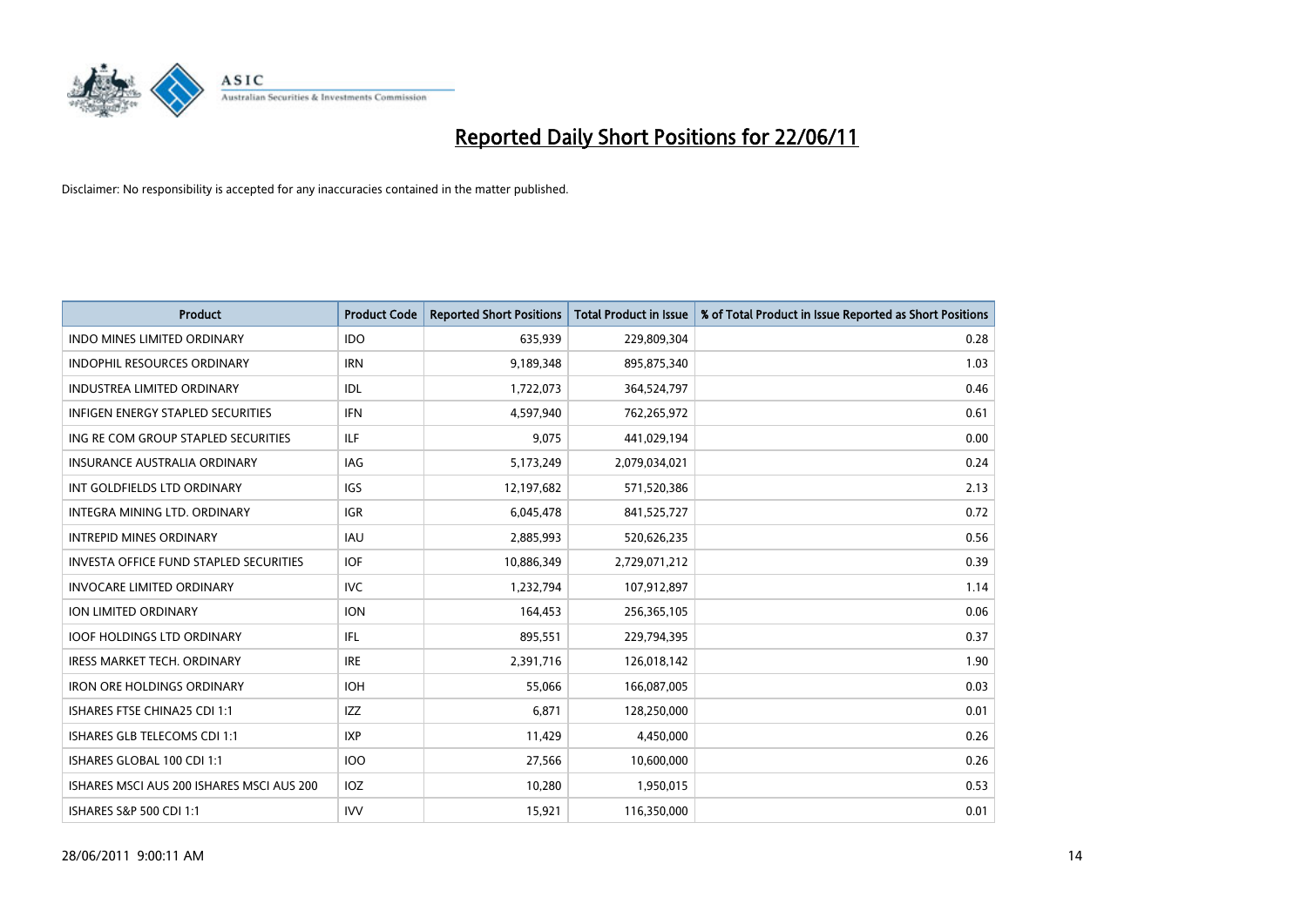

| <b>Product</b>                            | <b>Product Code</b> | <b>Reported Short Positions</b> | <b>Total Product in Issue</b> | % of Total Product in Issue Reported as Short Positions |
|-------------------------------------------|---------------------|---------------------------------|-------------------------------|---------------------------------------------------------|
| <b>INDO MINES LIMITED ORDINARY</b>        | <b>IDO</b>          | 635,939                         | 229,809,304                   | 0.28                                                    |
| INDOPHIL RESOURCES ORDINARY               | <b>IRN</b>          | 9,189,348                       | 895,875,340                   | 1.03                                                    |
| <b>INDUSTREA LIMITED ORDINARY</b>         | IDL                 | 1,722,073                       | 364,524,797                   | 0.46                                                    |
| INFIGEN ENERGY STAPLED SECURITIES         | <b>IFN</b>          | 4,597,940                       | 762,265,972                   | 0.61                                                    |
| ING RE COM GROUP STAPLED SECURITIES       | <b>ILF</b>          | 9,075                           | 441,029,194                   | 0.00                                                    |
| <b>INSURANCE AUSTRALIA ORDINARY</b>       | IAG                 | 5,173,249                       | 2,079,034,021                 | 0.24                                                    |
| INT GOLDFIELDS LTD ORDINARY               | <b>IGS</b>          | 12,197,682                      | 571,520,386                   | 2.13                                                    |
| INTEGRA MINING LTD, ORDINARY              | <b>IGR</b>          | 6,045,478                       | 841,525,727                   | 0.72                                                    |
| <b>INTREPID MINES ORDINARY</b>            | <b>IAU</b>          | 2,885,993                       | 520,626,235                   | 0.56                                                    |
| INVESTA OFFICE FUND STAPLED SECURITIES    | <b>IOF</b>          | 10,886,349                      | 2,729,071,212                 | 0.39                                                    |
| <b>INVOCARE LIMITED ORDINARY</b>          | <b>IVC</b>          | 1,232,794                       | 107,912,897                   | 1.14                                                    |
| <b>ION LIMITED ORDINARY</b>               | <b>ION</b>          | 164,453                         | 256,365,105                   | 0.06                                                    |
| <b>IOOF HOLDINGS LTD ORDINARY</b>         | IFL.                | 895,551                         | 229,794,395                   | 0.37                                                    |
| <b>IRESS MARKET TECH. ORDINARY</b>        | <b>IRE</b>          | 2,391,716                       | 126,018,142                   | 1.90                                                    |
| <b>IRON ORE HOLDINGS ORDINARY</b>         | <b>IOH</b>          | 55,066                          | 166,087,005                   | 0.03                                                    |
| ISHARES FTSE CHINA25 CDI 1:1              | <b>IZZ</b>          | 6,871                           | 128,250,000                   | 0.01                                                    |
| ISHARES GLB TELECOMS CDI 1:1              | <b>IXP</b>          | 11,429                          | 4,450,000                     | 0.26                                                    |
| ISHARES GLOBAL 100 CDI 1:1                | 100                 | 27,566                          | 10,600,000                    | 0.26                                                    |
| ISHARES MSCI AUS 200 ISHARES MSCI AUS 200 | <b>IOZ</b>          | 10,280                          | 1,950,015                     | 0.53                                                    |
| ISHARES S&P 500 CDI 1:1                   | <b>IVV</b>          | 15,921                          | 116,350,000                   | 0.01                                                    |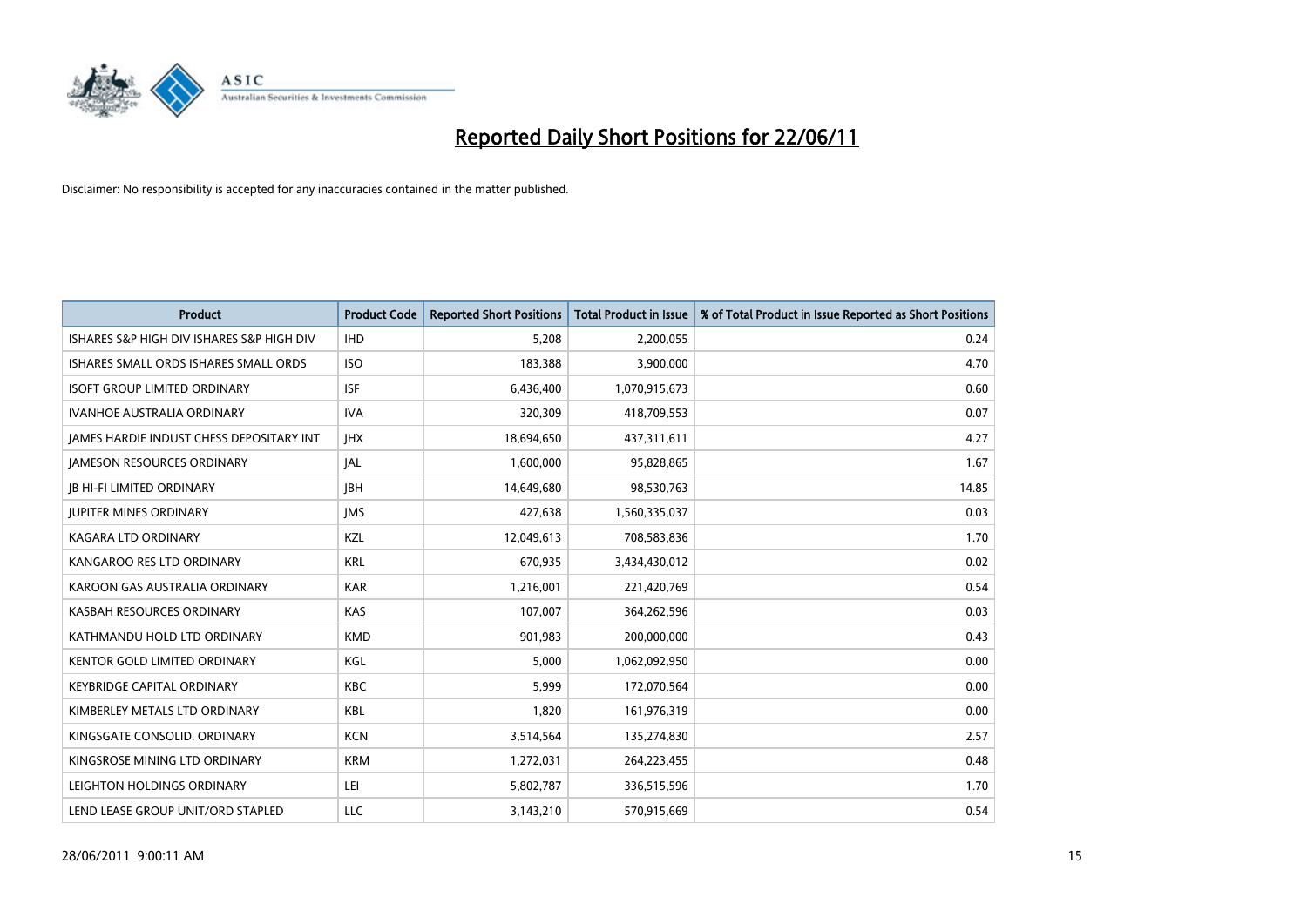

| <b>Product</b>                                  | <b>Product Code</b> | <b>Reported Short Positions</b> | <b>Total Product in Issue</b> | % of Total Product in Issue Reported as Short Positions |
|-------------------------------------------------|---------------------|---------------------------------|-------------------------------|---------------------------------------------------------|
| ISHARES S&P HIGH DIV ISHARES S&P HIGH DIV       | <b>IHD</b>          | 5,208                           | 2,200,055                     | 0.24                                                    |
| ISHARES SMALL ORDS ISHARES SMALL ORDS           | <b>ISO</b>          | 183,388                         | 3,900,000                     | 4.70                                                    |
| <b>ISOFT GROUP LIMITED ORDINARY</b>             | <b>ISF</b>          | 6,436,400                       | 1,070,915,673                 | 0.60                                                    |
| IVANHOE AUSTRALIA ORDINARY                      | <b>IVA</b>          | 320,309                         | 418,709,553                   | 0.07                                                    |
| <b>JAMES HARDIE INDUST CHESS DEPOSITARY INT</b> | <b>IHX</b>          | 18,694,650                      | 437,311,611                   | 4.27                                                    |
| <b>JAMESON RESOURCES ORDINARY</b>               | <b>JAL</b>          | 1,600,000                       | 95,828,865                    | 1.67                                                    |
| <b>IB HI-FI LIMITED ORDINARY</b>                | <b>IBH</b>          | 14,649,680                      | 98,530,763                    | 14.85                                                   |
| <b>JUPITER MINES ORDINARY</b>                   | <b>IMS</b>          | 427,638                         | 1,560,335,037                 | 0.03                                                    |
| KAGARA LTD ORDINARY                             | KZL                 | 12,049,613                      | 708,583,836                   | 1.70                                                    |
| KANGAROO RES LTD ORDINARY                       | <b>KRL</b>          | 670,935                         | 3,434,430,012                 | 0.02                                                    |
| KAROON GAS AUSTRALIA ORDINARY                   | <b>KAR</b>          | 1,216,001                       | 221,420,769                   | 0.54                                                    |
| KASBAH RESOURCES ORDINARY                       | <b>KAS</b>          | 107,007                         | 364,262,596                   | 0.03                                                    |
| KATHMANDU HOLD LTD ORDINARY                     | <b>KMD</b>          | 901,983                         | 200,000,000                   | 0.43                                                    |
| <b>KENTOR GOLD LIMITED ORDINARY</b>             | KGL                 | 5,000                           | 1,062,092,950                 | 0.00                                                    |
| <b>KEYBRIDGE CAPITAL ORDINARY</b>               | <b>KBC</b>          | 5,999                           | 172,070,564                   | 0.00                                                    |
| KIMBERLEY METALS LTD ORDINARY                   | KBL                 | 1,820                           | 161,976,319                   | 0.00                                                    |
| KINGSGATE CONSOLID. ORDINARY                    | <b>KCN</b>          | 3,514,564                       | 135,274,830                   | 2.57                                                    |
| KINGSROSE MINING LTD ORDINARY                   | <b>KRM</b>          | 1,272,031                       | 264,223,455                   | 0.48                                                    |
| LEIGHTON HOLDINGS ORDINARY                      | LEI                 | 5,802,787                       | 336,515,596                   | 1.70                                                    |
| LEND LEASE GROUP UNIT/ORD STAPLED               | LLC                 | 3,143,210                       | 570,915,669                   | 0.54                                                    |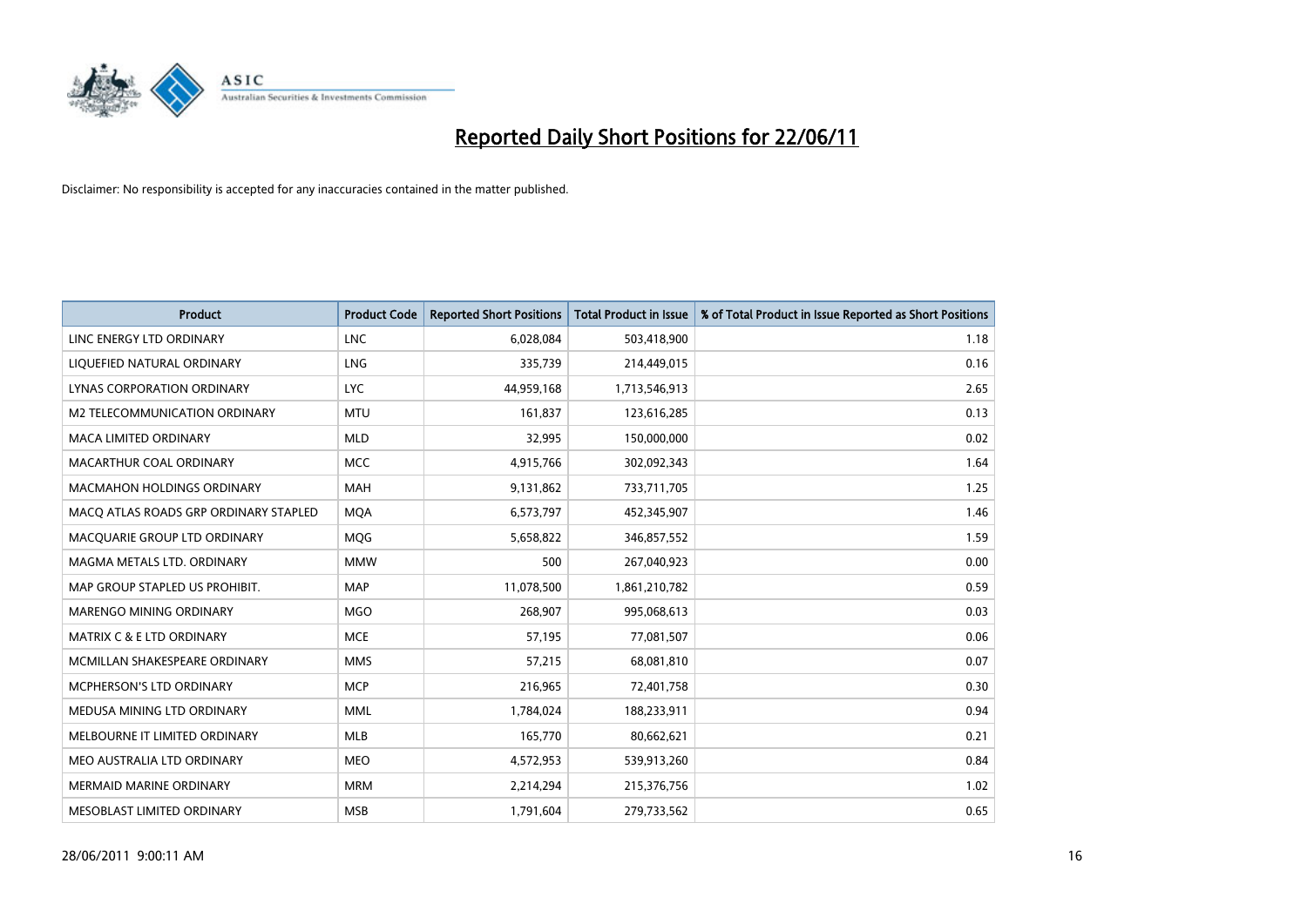

| <b>Product</b>                        | <b>Product Code</b> | <b>Reported Short Positions</b> | <b>Total Product in Issue</b> | % of Total Product in Issue Reported as Short Positions |
|---------------------------------------|---------------------|---------------------------------|-------------------------------|---------------------------------------------------------|
| LINC ENERGY LTD ORDINARY              | <b>LNC</b>          | 6,028,084                       | 503,418,900                   | 1.18                                                    |
| LIQUEFIED NATURAL ORDINARY            | LNG                 | 335,739                         | 214,449,015                   | 0.16                                                    |
| LYNAS CORPORATION ORDINARY            | <b>LYC</b>          | 44,959,168                      | 1,713,546,913                 | 2.65                                                    |
| M2 TELECOMMUNICATION ORDINARY         | <b>MTU</b>          | 161,837                         | 123,616,285                   | 0.13                                                    |
| <b>MACA LIMITED ORDINARY</b>          | <b>MLD</b>          | 32,995                          | 150,000,000                   | 0.02                                                    |
| MACARTHUR COAL ORDINARY               | <b>MCC</b>          | 4,915,766                       | 302,092,343                   | 1.64                                                    |
| MACMAHON HOLDINGS ORDINARY            | <b>MAH</b>          | 9,131,862                       | 733,711,705                   | 1.25                                                    |
| MACQ ATLAS ROADS GRP ORDINARY STAPLED | <b>MQA</b>          | 6,573,797                       | 452,345,907                   | 1.46                                                    |
| MACQUARIE GROUP LTD ORDINARY          | <b>MOG</b>          | 5,658,822                       | 346,857,552                   | 1.59                                                    |
| MAGMA METALS LTD. ORDINARY            | <b>MMW</b>          | 500                             | 267,040,923                   | 0.00                                                    |
| MAP GROUP STAPLED US PROHIBIT.        | <b>MAP</b>          | 11,078,500                      | 1,861,210,782                 | 0.59                                                    |
| <b>MARENGO MINING ORDINARY</b>        | <b>MGO</b>          | 268,907                         | 995,068,613                   | 0.03                                                    |
| <b>MATRIX C &amp; E LTD ORDINARY</b>  | <b>MCE</b>          | 57,195                          | 77,081,507                    | 0.06                                                    |
| MCMILLAN SHAKESPEARE ORDINARY         | <b>MMS</b>          | 57,215                          | 68,081,810                    | 0.07                                                    |
| MCPHERSON'S LTD ORDINARY              | <b>MCP</b>          | 216,965                         | 72,401,758                    | 0.30                                                    |
| MEDUSA MINING LTD ORDINARY            | <b>MML</b>          | 1,784,024                       | 188,233,911                   | 0.94                                                    |
| MELBOURNE IT LIMITED ORDINARY         | MLB                 | 165,770                         | 80,662,621                    | 0.21                                                    |
| MEO AUSTRALIA LTD ORDINARY            | <b>MEO</b>          | 4,572,953                       | 539,913,260                   | 0.84                                                    |
| <b>MERMAID MARINE ORDINARY</b>        | <b>MRM</b>          | 2,214,294                       | 215,376,756                   | 1.02                                                    |
| MESOBLAST LIMITED ORDINARY            | <b>MSB</b>          | 1,791,604                       | 279,733,562                   | 0.65                                                    |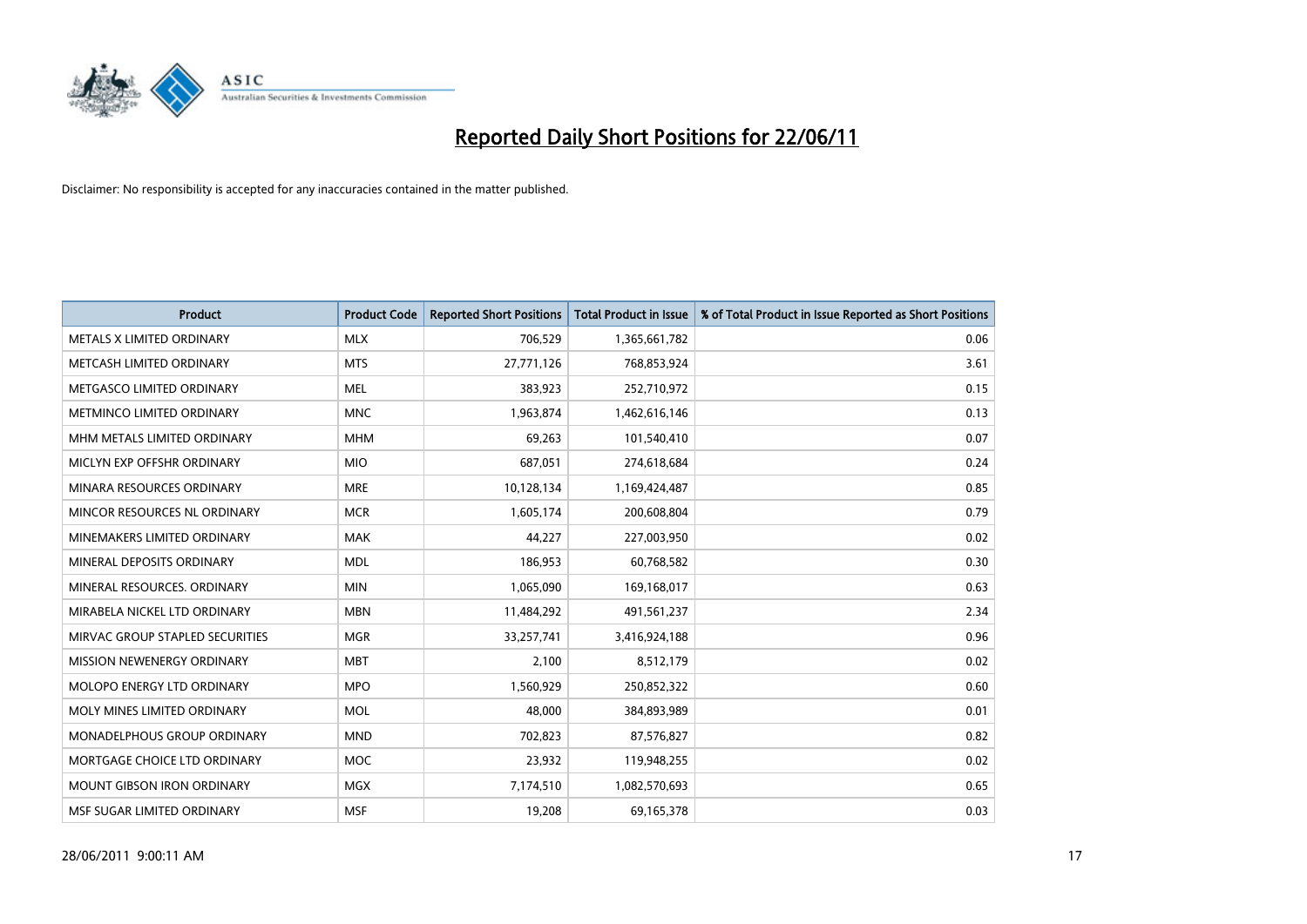

| <b>Product</b>                    | <b>Product Code</b> | <b>Reported Short Positions</b> | <b>Total Product in Issue</b> | % of Total Product in Issue Reported as Short Positions |
|-----------------------------------|---------------------|---------------------------------|-------------------------------|---------------------------------------------------------|
| METALS X LIMITED ORDINARY         | <b>MLX</b>          | 706,529                         | 1,365,661,782                 | 0.06                                                    |
| METCASH LIMITED ORDINARY          | <b>MTS</b>          | 27,771,126                      | 768,853,924                   | 3.61                                                    |
| METGASCO LIMITED ORDINARY         | <b>MEL</b>          | 383,923                         | 252,710,972                   | 0.15                                                    |
| METMINCO LIMITED ORDINARY         | <b>MNC</b>          | 1,963,874                       | 1,462,616,146                 | 0.13                                                    |
| MHM METALS LIMITED ORDINARY       | <b>MHM</b>          | 69,263                          | 101,540,410                   | 0.07                                                    |
| MICLYN EXP OFFSHR ORDINARY        | <b>MIO</b>          | 687,051                         | 274,618,684                   | 0.24                                                    |
| MINARA RESOURCES ORDINARY         | <b>MRE</b>          | 10,128,134                      | 1,169,424,487                 | 0.85                                                    |
| MINCOR RESOURCES NL ORDINARY      | <b>MCR</b>          | 1,605,174                       | 200,608,804                   | 0.79                                                    |
| MINEMAKERS LIMITED ORDINARY       | <b>MAK</b>          | 44,227                          | 227,003,950                   | 0.02                                                    |
| MINERAL DEPOSITS ORDINARY         | <b>MDL</b>          | 186,953                         | 60,768,582                    | 0.30                                                    |
| MINERAL RESOURCES. ORDINARY       | <b>MIN</b>          | 1,065,090                       | 169,168,017                   | 0.63                                                    |
| MIRABELA NICKEL LTD ORDINARY      | <b>MBN</b>          | 11,484,292                      | 491,561,237                   | 2.34                                                    |
| MIRVAC GROUP STAPLED SECURITIES   | <b>MGR</b>          | 33,257,741                      | 3,416,924,188                 | 0.96                                                    |
| MISSION NEWENERGY ORDINARY        | <b>MBT</b>          | 2,100                           | 8,512,179                     | 0.02                                                    |
| MOLOPO ENERGY LTD ORDINARY        | <b>MPO</b>          | 1,560,929                       | 250,852,322                   | 0.60                                                    |
| MOLY MINES LIMITED ORDINARY       | <b>MOL</b>          | 48,000                          | 384,893,989                   | 0.01                                                    |
| MONADELPHOUS GROUP ORDINARY       | <b>MND</b>          | 702,823                         | 87,576,827                    | 0.82                                                    |
| MORTGAGE CHOICE LTD ORDINARY      | <b>MOC</b>          | 23,932                          | 119,948,255                   | 0.02                                                    |
| <b>MOUNT GIBSON IRON ORDINARY</b> | <b>MGX</b>          | 7,174,510                       | 1,082,570,693                 | 0.65                                                    |
| MSF SUGAR LIMITED ORDINARY        | <b>MSF</b>          | 19,208                          | 69,165,378                    | 0.03                                                    |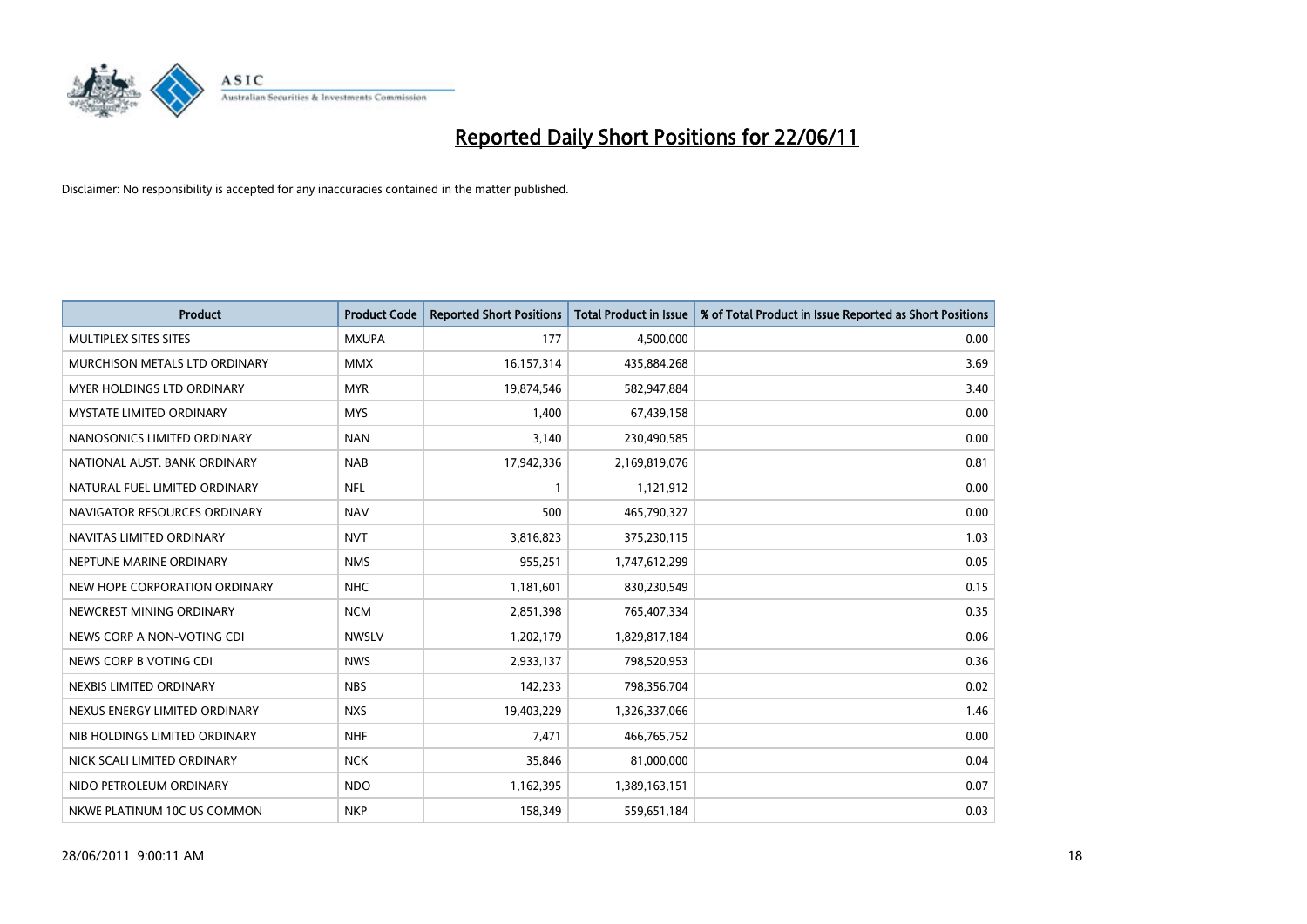

| <b>Product</b>                    | <b>Product Code</b> | <b>Reported Short Positions</b> | <b>Total Product in Issue</b> | % of Total Product in Issue Reported as Short Positions |
|-----------------------------------|---------------------|---------------------------------|-------------------------------|---------------------------------------------------------|
| MULTIPLEX SITES SITES             | <b>MXUPA</b>        | 177                             | 4,500,000                     | 0.00                                                    |
| MURCHISON METALS LTD ORDINARY     | <b>MMX</b>          | 16,157,314                      | 435,884,268                   | 3.69                                                    |
| <b>MYER HOLDINGS LTD ORDINARY</b> | <b>MYR</b>          | 19,874,546                      | 582,947,884                   | 3.40                                                    |
| <b>MYSTATE LIMITED ORDINARY</b>   | <b>MYS</b>          | 1,400                           | 67,439,158                    | 0.00                                                    |
| NANOSONICS LIMITED ORDINARY       | <b>NAN</b>          | 3,140                           | 230,490,585                   | 0.00                                                    |
| NATIONAL AUST. BANK ORDINARY      | <b>NAB</b>          | 17,942,336                      | 2,169,819,076                 | 0.81                                                    |
| NATURAL FUEL LIMITED ORDINARY     | <b>NFL</b>          |                                 | 1,121,912                     | 0.00                                                    |
| NAVIGATOR RESOURCES ORDINARY      | <b>NAV</b>          | 500                             | 465,790,327                   | 0.00                                                    |
| NAVITAS LIMITED ORDINARY          | <b>NVT</b>          | 3,816,823                       | 375,230,115                   | 1.03                                                    |
| NEPTUNE MARINE ORDINARY           | <b>NMS</b>          | 955,251                         | 1,747,612,299                 | 0.05                                                    |
| NEW HOPE CORPORATION ORDINARY     | <b>NHC</b>          | 1,181,601                       | 830,230,549                   | 0.15                                                    |
| NEWCREST MINING ORDINARY          | <b>NCM</b>          | 2,851,398                       | 765,407,334                   | 0.35                                                    |
| NEWS CORP A NON-VOTING CDI        | <b>NWSLV</b>        | 1,202,179                       | 1,829,817,184                 | 0.06                                                    |
| NEWS CORP B VOTING CDI            | <b>NWS</b>          | 2,933,137                       | 798,520,953                   | 0.36                                                    |
| NEXBIS LIMITED ORDINARY           | <b>NBS</b>          | 142,233                         | 798,356,704                   | 0.02                                                    |
| NEXUS ENERGY LIMITED ORDINARY     | <b>NXS</b>          | 19,403,229                      | 1,326,337,066                 | 1.46                                                    |
| NIB HOLDINGS LIMITED ORDINARY     | <b>NHF</b>          | 7,471                           | 466,765,752                   | 0.00                                                    |
| NICK SCALI LIMITED ORDINARY       | <b>NCK</b>          | 35,846                          | 81,000,000                    | 0.04                                                    |
| NIDO PETROLEUM ORDINARY           | <b>NDO</b>          | 1,162,395                       | 1,389,163,151                 | 0.07                                                    |
| NKWE PLATINUM 10C US COMMON       | <b>NKP</b>          | 158,349                         | 559,651,184                   | 0.03                                                    |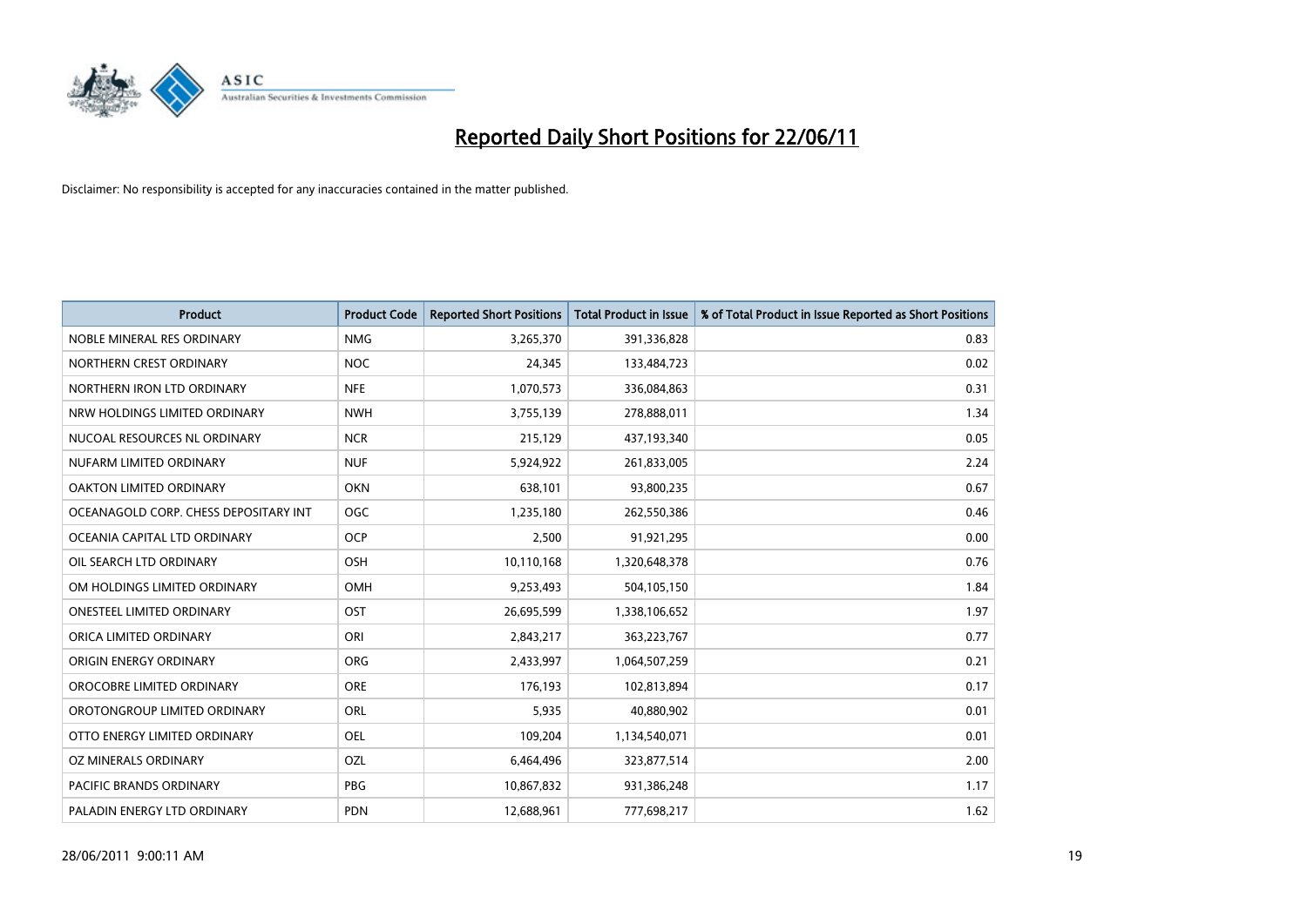

| <b>Product</b>                        | <b>Product Code</b> | <b>Reported Short Positions</b> | <b>Total Product in Issue</b> | % of Total Product in Issue Reported as Short Positions |
|---------------------------------------|---------------------|---------------------------------|-------------------------------|---------------------------------------------------------|
| NOBLE MINERAL RES ORDINARY            | <b>NMG</b>          | 3,265,370                       | 391,336,828                   | 0.83                                                    |
| NORTHERN CREST ORDINARY               | <b>NOC</b>          | 24,345                          | 133,484,723                   | 0.02                                                    |
| NORTHERN IRON LTD ORDINARY            | <b>NFE</b>          | 1,070,573                       | 336,084,863                   | 0.31                                                    |
| NRW HOLDINGS LIMITED ORDINARY         | <b>NWH</b>          | 3,755,139                       | 278,888,011                   | 1.34                                                    |
| NUCOAL RESOURCES NL ORDINARY          | <b>NCR</b>          | 215,129                         | 437,193,340                   | 0.05                                                    |
| NUFARM LIMITED ORDINARY               | <b>NUF</b>          | 5,924,922                       | 261,833,005                   | 2.24                                                    |
| OAKTON LIMITED ORDINARY               | <b>OKN</b>          | 638,101                         | 93,800,235                    | 0.67                                                    |
| OCEANAGOLD CORP. CHESS DEPOSITARY INT | OGC                 | 1,235,180                       | 262,550,386                   | 0.46                                                    |
| OCEANIA CAPITAL LTD ORDINARY          | <b>OCP</b>          | 2,500                           | 91,921,295                    | 0.00                                                    |
| OIL SEARCH LTD ORDINARY               | <b>OSH</b>          | 10,110,168                      | 1,320,648,378                 | 0.76                                                    |
| OM HOLDINGS LIMITED ORDINARY          | <b>OMH</b>          | 9,253,493                       | 504,105,150                   | 1.84                                                    |
| <b>ONESTEEL LIMITED ORDINARY</b>      | OST                 | 26,695,599                      | 1,338,106,652                 | 1.97                                                    |
| ORICA LIMITED ORDINARY                | ORI                 | 2,843,217                       | 363,223,767                   | 0.77                                                    |
| ORIGIN ENERGY ORDINARY                | ORG                 | 2,433,997                       | 1,064,507,259                 | 0.21                                                    |
| OROCOBRE LIMITED ORDINARY             | <b>ORE</b>          | 176,193                         | 102,813,894                   | 0.17                                                    |
| OROTONGROUP LIMITED ORDINARY          | ORL                 | 5,935                           | 40,880,902                    | 0.01                                                    |
| OTTO ENERGY LIMITED ORDINARY          | <b>OEL</b>          | 109,204                         | 1,134,540,071                 | 0.01                                                    |
| OZ MINERALS ORDINARY                  | OZL                 | 6,464,496                       | 323,877,514                   | 2.00                                                    |
| <b>PACIFIC BRANDS ORDINARY</b>        | <b>PBG</b>          | 10,867,832                      | 931,386,248                   | 1.17                                                    |
| PALADIN ENERGY LTD ORDINARY           | <b>PDN</b>          | 12,688,961                      | 777,698,217                   | 1.62                                                    |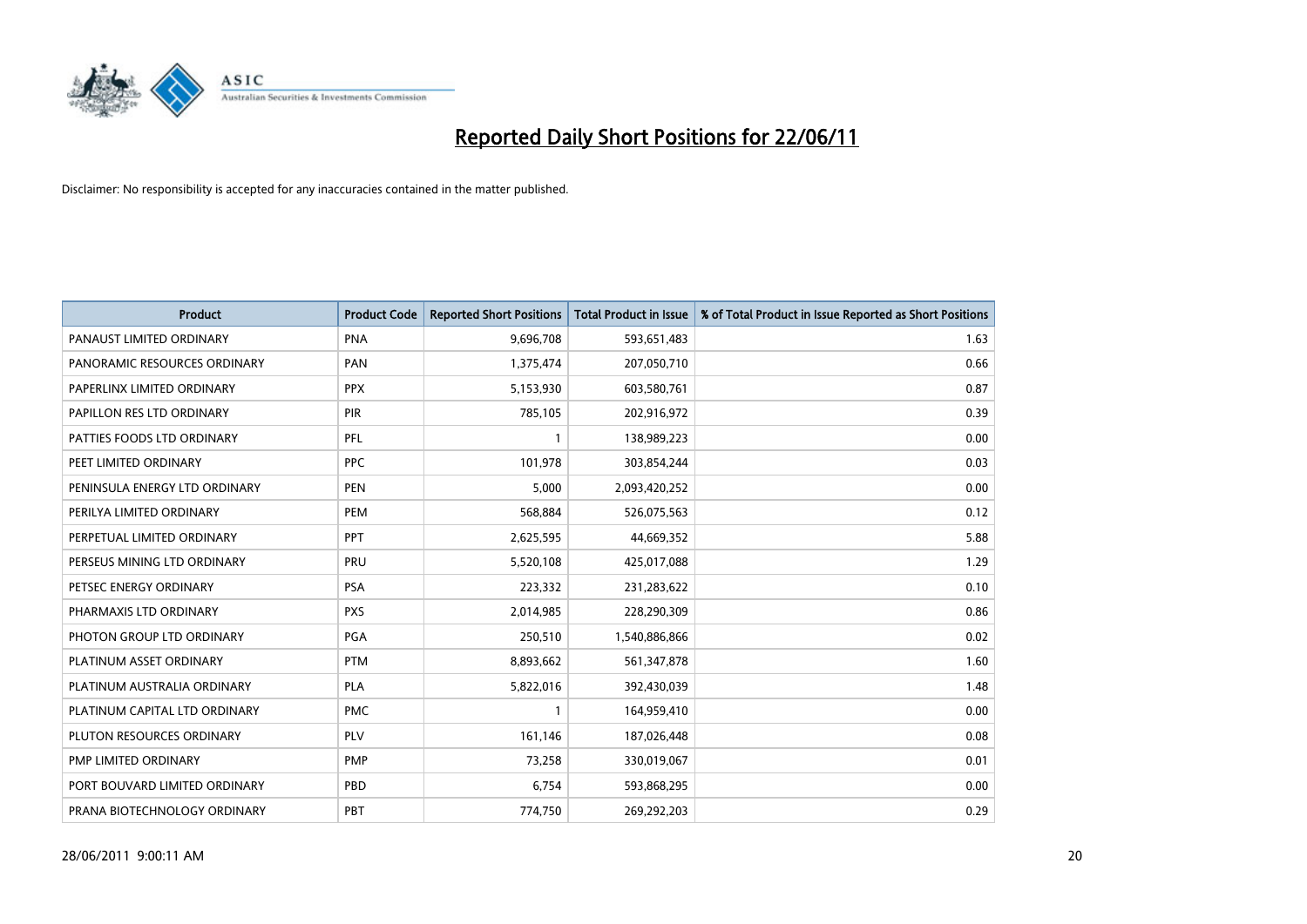

| <b>Product</b>                | <b>Product Code</b> | <b>Reported Short Positions</b> | <b>Total Product in Issue</b> | % of Total Product in Issue Reported as Short Positions |
|-------------------------------|---------------------|---------------------------------|-------------------------------|---------------------------------------------------------|
| PANAUST LIMITED ORDINARY      | <b>PNA</b>          | 9,696,708                       | 593,651,483                   | 1.63                                                    |
| PANORAMIC RESOURCES ORDINARY  | PAN                 | 1,375,474                       | 207,050,710                   | 0.66                                                    |
| PAPERLINX LIMITED ORDINARY    | <b>PPX</b>          | 5,153,930                       | 603,580,761                   | 0.87                                                    |
| PAPILLON RES LTD ORDINARY     | PIR                 | 785,105                         | 202,916,972                   | 0.39                                                    |
| PATTIES FOODS LTD ORDINARY    | PFL                 |                                 | 138,989,223                   | 0.00                                                    |
| PEET LIMITED ORDINARY         | <b>PPC</b>          | 101,978                         | 303,854,244                   | 0.03                                                    |
| PENINSULA ENERGY LTD ORDINARY | <b>PEN</b>          | 5,000                           | 2,093,420,252                 | 0.00                                                    |
| PERILYA LIMITED ORDINARY      | PEM                 | 568,884                         | 526,075,563                   | 0.12                                                    |
| PERPETUAL LIMITED ORDINARY    | <b>PPT</b>          | 2,625,595                       | 44,669,352                    | 5.88                                                    |
| PERSEUS MINING LTD ORDINARY   | PRU                 | 5,520,108                       | 425,017,088                   | 1.29                                                    |
| PETSEC ENERGY ORDINARY        | <b>PSA</b>          | 223,332                         | 231,283,622                   | 0.10                                                    |
| PHARMAXIS LTD ORDINARY        | <b>PXS</b>          | 2,014,985                       | 228,290,309                   | 0.86                                                    |
| PHOTON GROUP LTD ORDINARY     | PGA                 | 250,510                         | 1,540,886,866                 | 0.02                                                    |
| PLATINUM ASSET ORDINARY       | <b>PTM</b>          | 8,893,662                       | 561,347,878                   | 1.60                                                    |
| PLATINUM AUSTRALIA ORDINARY   | PLA                 | 5,822,016                       | 392,430,039                   | 1.48                                                    |
| PLATINUM CAPITAL LTD ORDINARY | <b>PMC</b>          |                                 | 164,959,410                   | 0.00                                                    |
| PLUTON RESOURCES ORDINARY     | <b>PLV</b>          | 161,146                         | 187,026,448                   | 0.08                                                    |
| PMP LIMITED ORDINARY          | <b>PMP</b>          | 73,258                          | 330,019,067                   | 0.01                                                    |
| PORT BOUVARD LIMITED ORDINARY | PBD                 | 6,754                           | 593,868,295                   | 0.00                                                    |
| PRANA BIOTECHNOLOGY ORDINARY  | PBT                 | 774,750                         | 269,292,203                   | 0.29                                                    |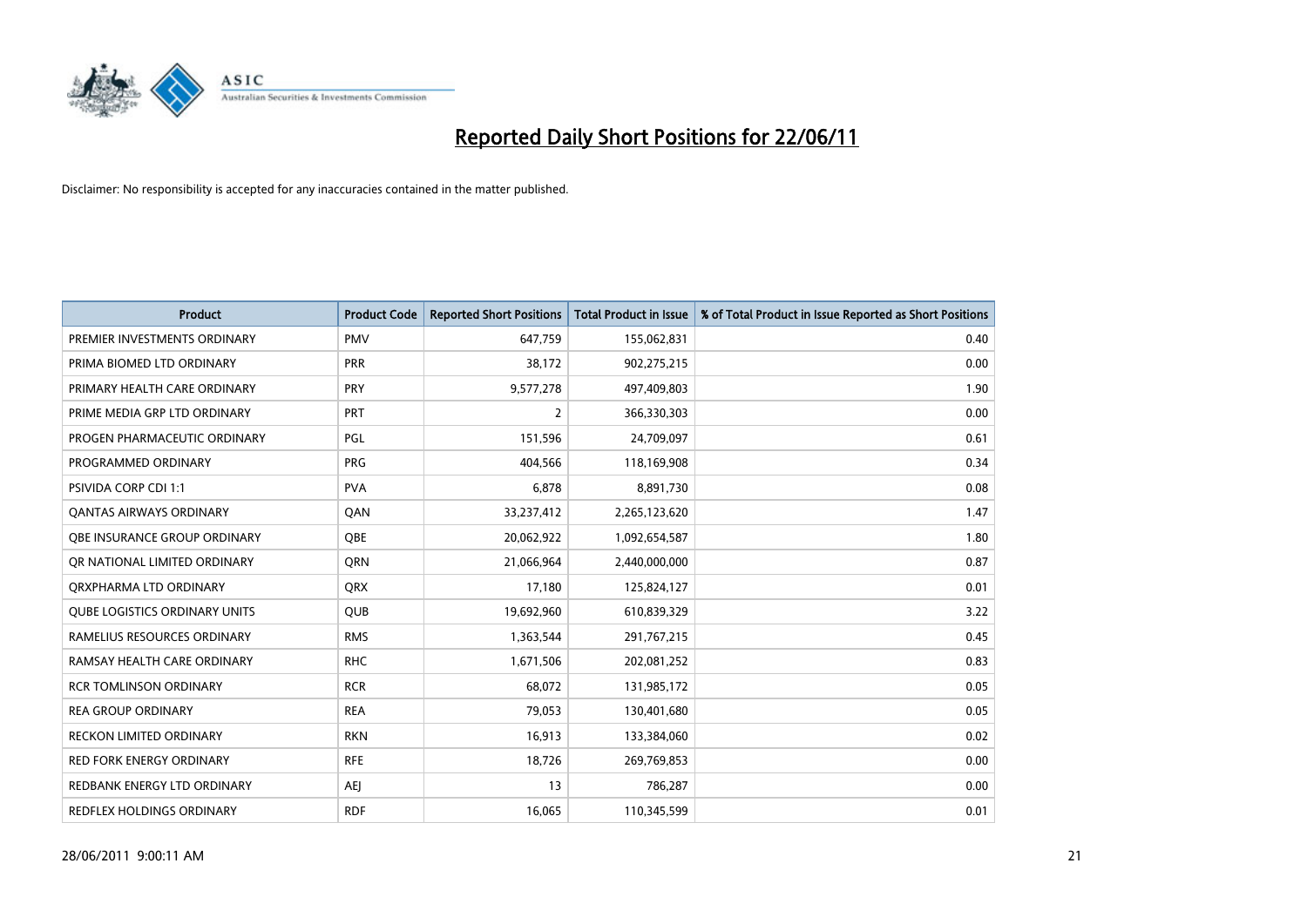

| <b>Product</b>                       | <b>Product Code</b> | <b>Reported Short Positions</b> | Total Product in Issue | % of Total Product in Issue Reported as Short Positions |
|--------------------------------------|---------------------|---------------------------------|------------------------|---------------------------------------------------------|
| PREMIER INVESTMENTS ORDINARY         | <b>PMV</b>          | 647,759                         | 155,062,831            | 0.40                                                    |
| PRIMA BIOMED LTD ORDINARY            | <b>PRR</b>          | 38,172                          | 902,275,215            | 0.00                                                    |
| PRIMARY HEALTH CARE ORDINARY         | <b>PRY</b>          | 9,577,278                       | 497,409,803            | 1.90                                                    |
| PRIME MEDIA GRP LTD ORDINARY         | PRT                 | $\overline{2}$                  | 366,330,303            | 0.00                                                    |
| PROGEN PHARMACEUTIC ORDINARY         | PGL                 | 151,596                         | 24,709,097             | 0.61                                                    |
| PROGRAMMED ORDINARY                  | <b>PRG</b>          | 404,566                         | 118,169,908            | 0.34                                                    |
| <b>PSIVIDA CORP CDI 1:1</b>          | <b>PVA</b>          | 6,878                           | 8,891,730              | 0.08                                                    |
| <b>QANTAS AIRWAYS ORDINARY</b>       | QAN                 | 33,237,412                      | 2,265,123,620          | 1.47                                                    |
| OBE INSURANCE GROUP ORDINARY         | OBE                 | 20,062,922                      | 1,092,654,587          | 1.80                                                    |
| OR NATIONAL LIMITED ORDINARY         | <b>ORN</b>          | 21,066,964                      | 2,440,000,000          | 0.87                                                    |
| ORXPHARMA LTD ORDINARY               | <b>QRX</b>          | 17,180                          | 125,824,127            | 0.01                                                    |
| <b>QUBE LOGISTICS ORDINARY UNITS</b> | <b>QUB</b>          | 19,692,960                      | 610,839,329            | 3.22                                                    |
| RAMELIUS RESOURCES ORDINARY          | <b>RMS</b>          | 1,363,544                       | 291,767,215            | 0.45                                                    |
| RAMSAY HEALTH CARE ORDINARY          | <b>RHC</b>          | 1,671,506                       | 202,081,252            | 0.83                                                    |
| <b>RCR TOMLINSON ORDINARY</b>        | <b>RCR</b>          | 68,072                          | 131,985,172            | 0.05                                                    |
| <b>REA GROUP ORDINARY</b>            | <b>REA</b>          | 79,053                          | 130,401,680            | 0.05                                                    |
| <b>RECKON LIMITED ORDINARY</b>       | <b>RKN</b>          | 16,913                          | 133,384,060            | 0.02                                                    |
| <b>RED FORK ENERGY ORDINARY</b>      | <b>RFE</b>          | 18,726                          | 269,769,853            | 0.00                                                    |
| REDBANK ENERGY LTD ORDINARY          | <b>AEI</b>          | 13                              | 786,287                | 0.00                                                    |
| REDFLEX HOLDINGS ORDINARY            | <b>RDF</b>          | 16,065                          | 110,345,599            | 0.01                                                    |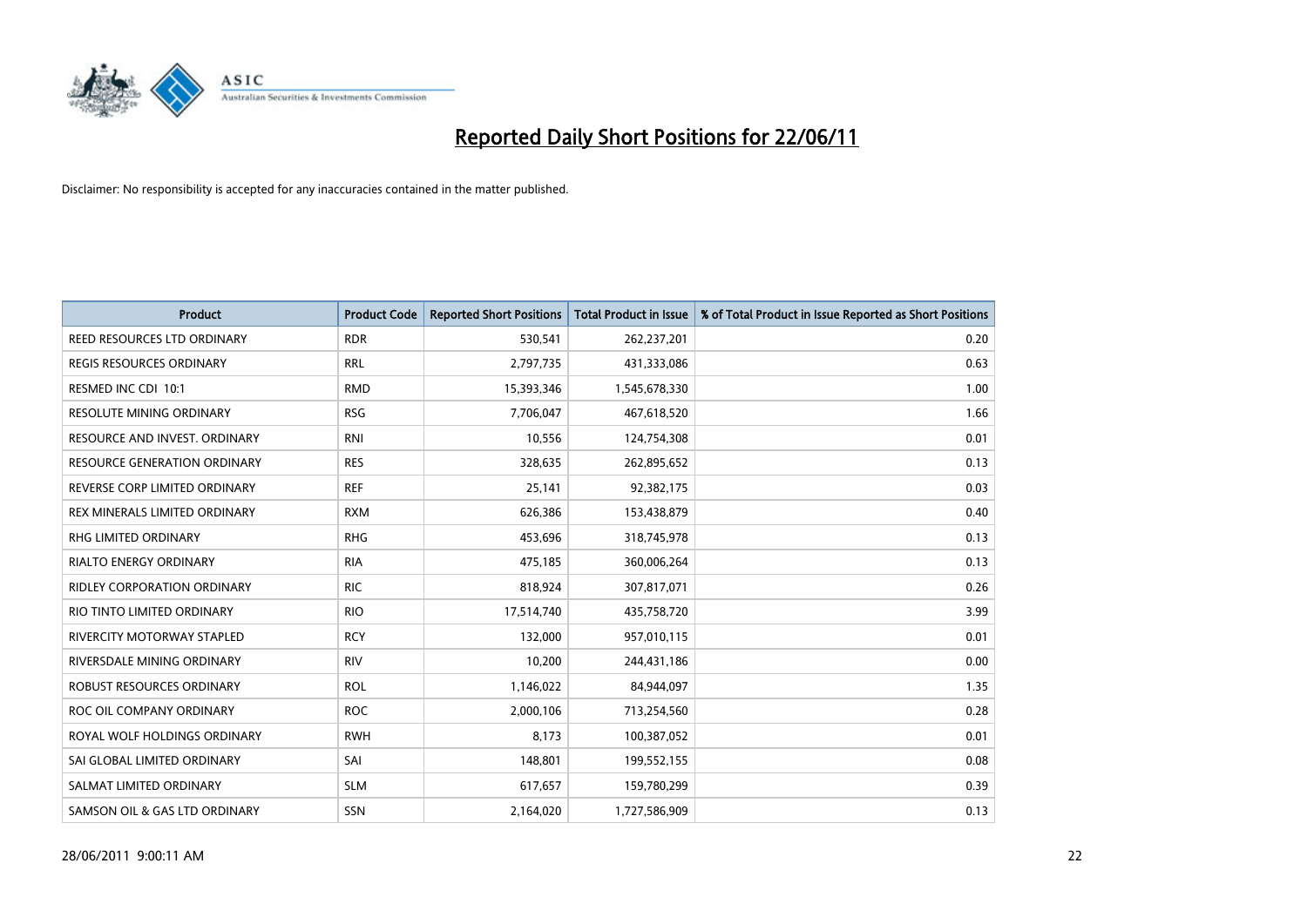

| <b>Product</b>                      | <b>Product Code</b> | <b>Reported Short Positions</b> | <b>Total Product in Issue</b> | % of Total Product in Issue Reported as Short Positions |
|-------------------------------------|---------------------|---------------------------------|-------------------------------|---------------------------------------------------------|
| REED RESOURCES LTD ORDINARY         | <b>RDR</b>          | 530,541                         | 262,237,201                   | 0.20                                                    |
| REGIS RESOURCES ORDINARY            | <b>RRL</b>          | 2,797,735                       | 431,333,086                   | 0.63                                                    |
| RESMED INC CDI 10:1                 | <b>RMD</b>          | 15,393,346                      | 1,545,678,330                 | 1.00                                                    |
| RESOLUTE MINING ORDINARY            | <b>RSG</b>          | 7,706,047                       | 467,618,520                   | 1.66                                                    |
| RESOURCE AND INVEST. ORDINARY       | <b>RNI</b>          | 10,556                          | 124,754,308                   | 0.01                                                    |
| <b>RESOURCE GENERATION ORDINARY</b> | <b>RES</b>          | 328,635                         | 262,895,652                   | 0.13                                                    |
| REVERSE CORP LIMITED ORDINARY       | <b>REF</b>          | 25,141                          | 92,382,175                    | 0.03                                                    |
| REX MINERALS LIMITED ORDINARY       | <b>RXM</b>          | 626,386                         | 153,438,879                   | 0.40                                                    |
| RHG LIMITED ORDINARY                | <b>RHG</b>          | 453,696                         | 318,745,978                   | 0.13                                                    |
| <b>RIALTO ENERGY ORDINARY</b>       | <b>RIA</b>          | 475,185                         | 360,006,264                   | 0.13                                                    |
| RIDLEY CORPORATION ORDINARY         | <b>RIC</b>          | 818,924                         | 307,817,071                   | 0.26                                                    |
| RIO TINTO LIMITED ORDINARY          | <b>RIO</b>          | 17,514,740                      | 435,758,720                   | 3.99                                                    |
| RIVERCITY MOTORWAY STAPLED          | <b>RCY</b>          | 132,000                         | 957,010,115                   | 0.01                                                    |
| RIVERSDALE MINING ORDINARY          | <b>RIV</b>          | 10,200                          | 244,431,186                   | 0.00                                                    |
| ROBUST RESOURCES ORDINARY           | <b>ROL</b>          | 1,146,022                       | 84,944,097                    | 1.35                                                    |
| ROC OIL COMPANY ORDINARY            | <b>ROC</b>          | 2,000,106                       | 713,254,560                   | 0.28                                                    |
| ROYAL WOLF HOLDINGS ORDINARY        | <b>RWH</b>          | 8,173                           | 100,387,052                   | 0.01                                                    |
| SAI GLOBAL LIMITED ORDINARY         | SAI                 | 148,801                         | 199,552,155                   | 0.08                                                    |
| SALMAT LIMITED ORDINARY             | <b>SLM</b>          | 617,657                         | 159,780,299                   | 0.39                                                    |
| SAMSON OIL & GAS LTD ORDINARY       | SSN                 | 2,164,020                       | 1,727,586,909                 | 0.13                                                    |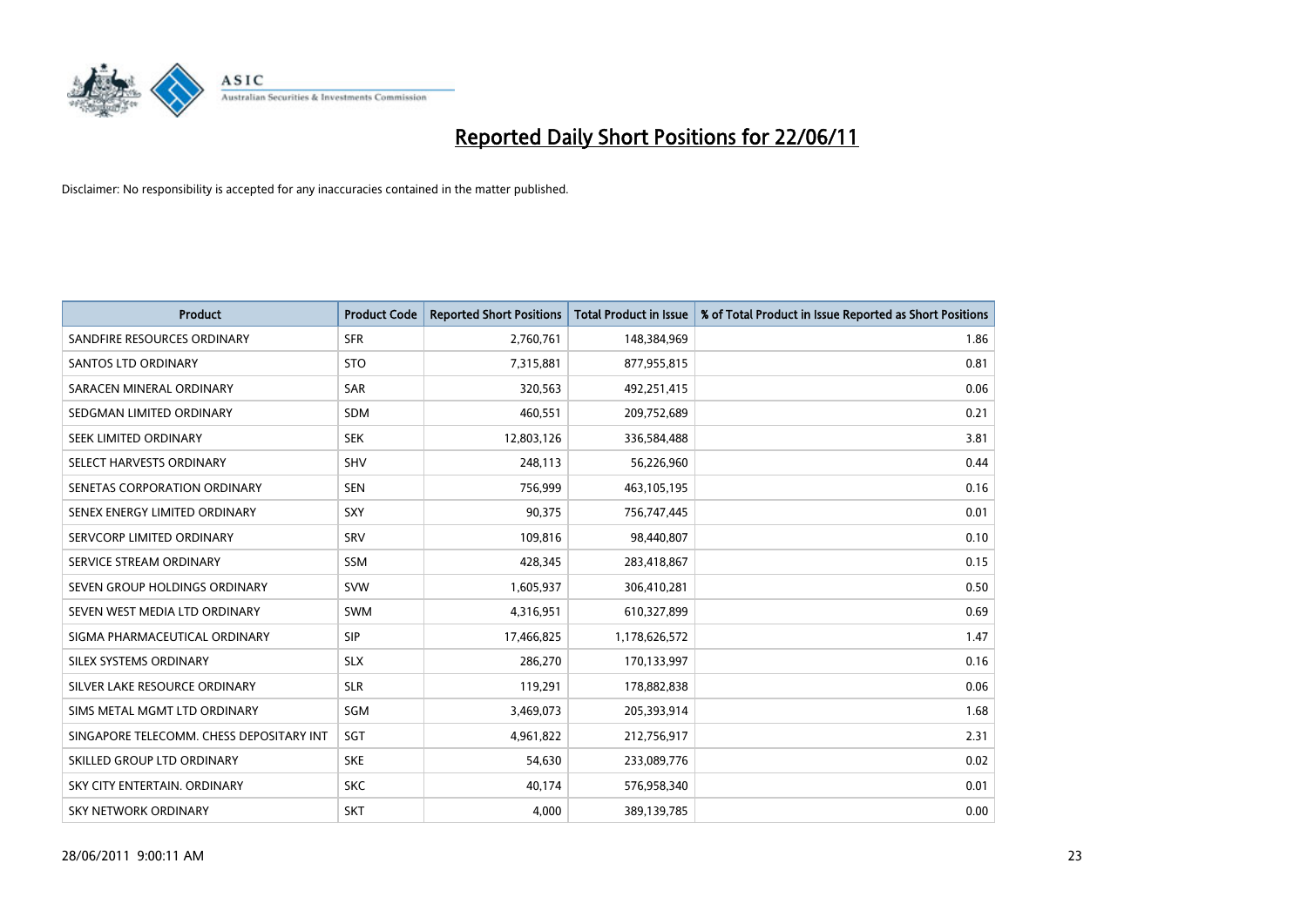

| <b>Product</b>                           | <b>Product Code</b> | <b>Reported Short Positions</b> | <b>Total Product in Issue</b> | % of Total Product in Issue Reported as Short Positions |
|------------------------------------------|---------------------|---------------------------------|-------------------------------|---------------------------------------------------------|
| SANDFIRE RESOURCES ORDINARY              | <b>SFR</b>          | 2,760,761                       | 148,384,969                   | 1.86                                                    |
| SANTOS LTD ORDINARY                      | <b>STO</b>          | 7,315,881                       | 877,955,815                   | 0.81                                                    |
| SARACEN MINERAL ORDINARY                 | <b>SAR</b>          | 320,563                         | 492,251,415                   | 0.06                                                    |
| SEDGMAN LIMITED ORDINARY                 | <b>SDM</b>          | 460,551                         | 209,752,689                   | 0.21                                                    |
| SEEK LIMITED ORDINARY                    | <b>SEK</b>          | 12,803,126                      | 336,584,488                   | 3.81                                                    |
| SELECT HARVESTS ORDINARY                 | SHV                 | 248,113                         | 56,226,960                    | 0.44                                                    |
| SENETAS CORPORATION ORDINARY             | <b>SEN</b>          | 756,999                         | 463,105,195                   | 0.16                                                    |
| SENEX ENERGY LIMITED ORDINARY            | <b>SXY</b>          | 90,375                          | 756,747,445                   | 0.01                                                    |
| SERVCORP LIMITED ORDINARY                | SRV                 | 109,816                         | 98,440,807                    | 0.10                                                    |
| SERVICE STREAM ORDINARY                  | <b>SSM</b>          | 428,345                         | 283,418,867                   | 0.15                                                    |
| SEVEN GROUP HOLDINGS ORDINARY            | <b>SVW</b>          | 1,605,937                       | 306,410,281                   | 0.50                                                    |
| SEVEN WEST MEDIA LTD ORDINARY            | <b>SWM</b>          | 4,316,951                       | 610,327,899                   | 0.69                                                    |
| SIGMA PHARMACEUTICAL ORDINARY            | <b>SIP</b>          | 17,466,825                      | 1,178,626,572                 | 1.47                                                    |
| SILEX SYSTEMS ORDINARY                   | <b>SLX</b>          | 286,270                         | 170,133,997                   | 0.16                                                    |
| SILVER LAKE RESOURCE ORDINARY            | <b>SLR</b>          | 119,291                         | 178,882,838                   | 0.06                                                    |
| SIMS METAL MGMT LTD ORDINARY             | SGM                 | 3,469,073                       | 205,393,914                   | 1.68                                                    |
| SINGAPORE TELECOMM. CHESS DEPOSITARY INT | SGT                 | 4,961,822                       | 212,756,917                   | 2.31                                                    |
| SKILLED GROUP LTD ORDINARY               | <b>SKE</b>          | 54,630                          | 233,089,776                   | 0.02                                                    |
| SKY CITY ENTERTAIN, ORDINARY             | <b>SKC</b>          | 40,174                          | 576,958,340                   | 0.01                                                    |
| SKY NETWORK ORDINARY                     | <b>SKT</b>          | 4,000                           | 389,139,785                   | 0.00                                                    |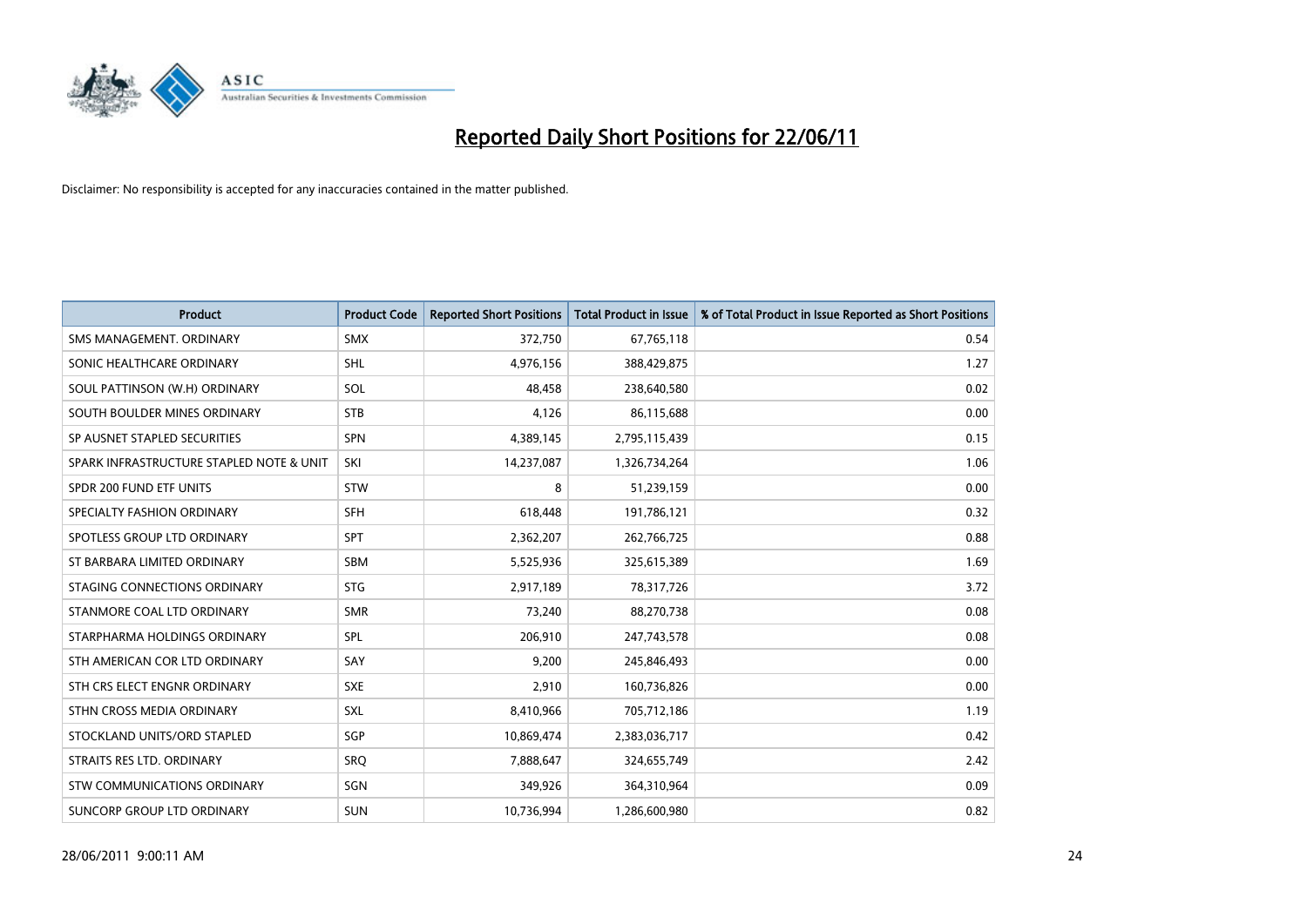

| <b>Product</b>                           | <b>Product Code</b> | <b>Reported Short Positions</b> | <b>Total Product in Issue</b> | % of Total Product in Issue Reported as Short Positions |
|------------------------------------------|---------------------|---------------------------------|-------------------------------|---------------------------------------------------------|
| SMS MANAGEMENT, ORDINARY                 | <b>SMX</b>          | 372,750                         | 67,765,118                    | 0.54                                                    |
| SONIC HEALTHCARE ORDINARY                | SHL                 | 4,976,156                       | 388,429,875                   | 1.27                                                    |
| SOUL PATTINSON (W.H) ORDINARY            | SOL                 | 48.458                          | 238,640,580                   | 0.02                                                    |
| SOUTH BOULDER MINES ORDINARY             | <b>STB</b>          | 4,126                           | 86,115,688                    | 0.00                                                    |
| SP AUSNET STAPLED SECURITIES             | <b>SPN</b>          | 4,389,145                       | 2,795,115,439                 | 0.15                                                    |
| SPARK INFRASTRUCTURE STAPLED NOTE & UNIT | SKI                 | 14,237,087                      | 1,326,734,264                 | 1.06                                                    |
| SPDR 200 FUND ETF UNITS                  | <b>STW</b>          | 8                               | 51,239,159                    | 0.00                                                    |
| SPECIALTY FASHION ORDINARY               | <b>SFH</b>          | 618,448                         | 191,786,121                   | 0.32                                                    |
| SPOTLESS GROUP LTD ORDINARY              | <b>SPT</b>          | 2,362,207                       | 262,766,725                   | 0.88                                                    |
| ST BARBARA LIMITED ORDINARY              | SBM                 | 5,525,936                       | 325,615,389                   | 1.69                                                    |
| STAGING CONNECTIONS ORDINARY             | <b>STG</b>          | 2,917,189                       | 78,317,726                    | 3.72                                                    |
| STANMORE COAL LTD ORDINARY               | <b>SMR</b>          | 73,240                          | 88,270,738                    | 0.08                                                    |
| STARPHARMA HOLDINGS ORDINARY             | <b>SPL</b>          | 206,910                         | 247,743,578                   | 0.08                                                    |
| STH AMERICAN COR LTD ORDINARY            | SAY                 | 9,200                           | 245,846,493                   | 0.00                                                    |
| STH CRS ELECT ENGNR ORDINARY             | <b>SXE</b>          | 2,910                           | 160,736,826                   | 0.00                                                    |
| STHN CROSS MEDIA ORDINARY                | <b>SXL</b>          | 8,410,966                       | 705,712,186                   | 1.19                                                    |
| STOCKLAND UNITS/ORD STAPLED              | <b>SGP</b>          | 10,869,474                      | 2,383,036,717                 | 0.42                                                    |
| STRAITS RES LTD. ORDINARY                | <b>SRQ</b>          | 7,888,647                       | 324,655,749                   | 2.42                                                    |
| STW COMMUNICATIONS ORDINARY              | SGN                 | 349,926                         | 364,310,964                   | 0.09                                                    |
| SUNCORP GROUP LTD ORDINARY               | <b>SUN</b>          | 10,736,994                      | 1,286,600,980                 | 0.82                                                    |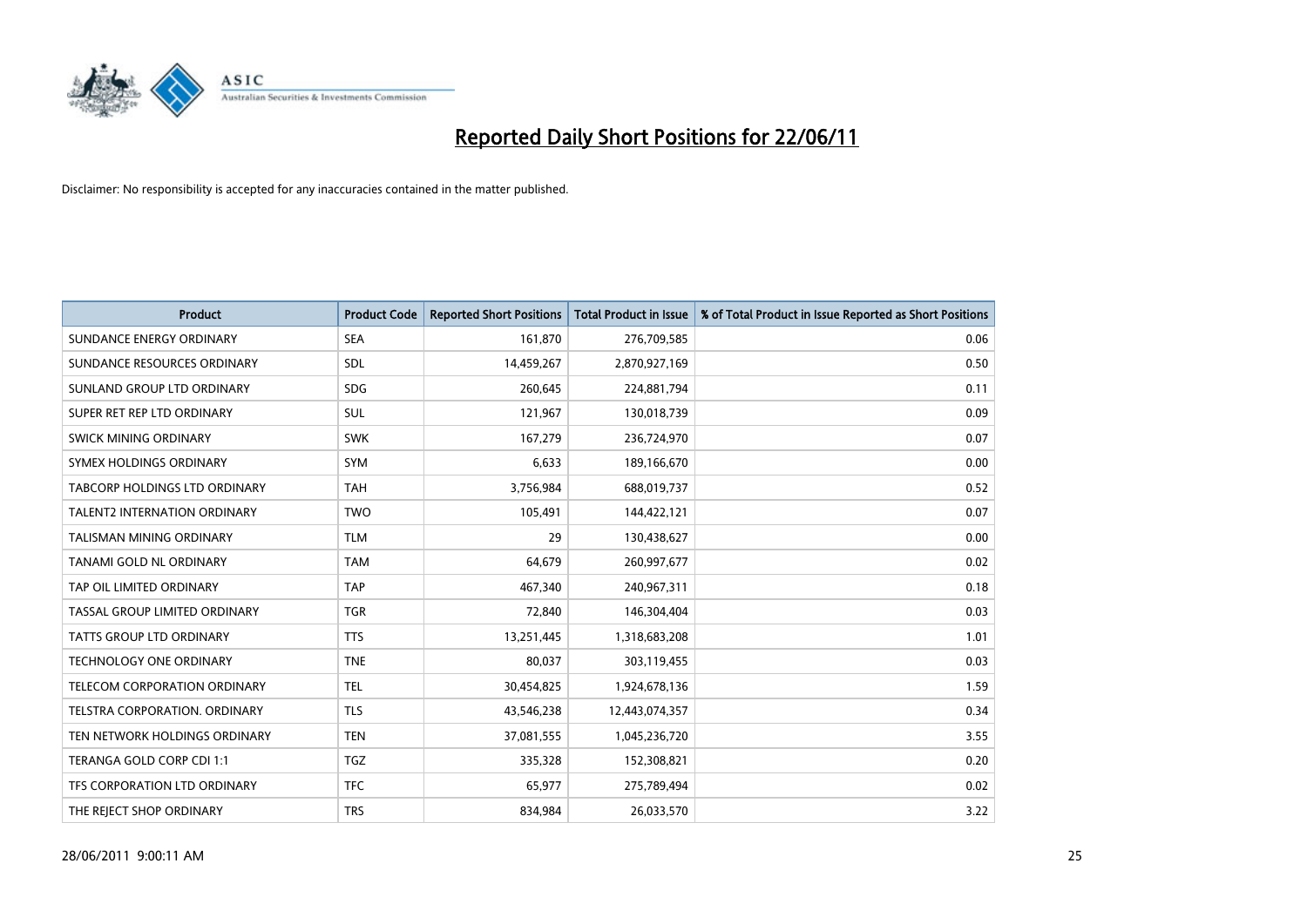

| <b>Product</b>                      | <b>Product Code</b> | <b>Reported Short Positions</b> | <b>Total Product in Issue</b> | % of Total Product in Issue Reported as Short Positions |
|-------------------------------------|---------------------|---------------------------------|-------------------------------|---------------------------------------------------------|
| SUNDANCE ENERGY ORDINARY            | <b>SEA</b>          | 161,870                         | 276,709,585                   | 0.06                                                    |
| SUNDANCE RESOURCES ORDINARY         | <b>SDL</b>          | 14,459,267                      | 2,870,927,169                 | 0.50                                                    |
| SUNLAND GROUP LTD ORDINARY          | <b>SDG</b>          | 260.645                         | 224,881,794                   | 0.11                                                    |
| SUPER RET REP LTD ORDINARY          | <b>SUL</b>          | 121,967                         | 130,018,739                   | 0.09                                                    |
| <b>SWICK MINING ORDINARY</b>        | <b>SWK</b>          | 167,279                         | 236,724,970                   | 0.07                                                    |
| SYMEX HOLDINGS ORDINARY             | <b>SYM</b>          | 6,633                           | 189,166,670                   | 0.00                                                    |
| TABCORP HOLDINGS LTD ORDINARY       | <b>TAH</b>          | 3,756,984                       | 688,019,737                   | 0.52                                                    |
| <b>TALENT2 INTERNATION ORDINARY</b> | <b>TWO</b>          | 105,491                         | 144,422,121                   | 0.07                                                    |
| <b>TALISMAN MINING ORDINARY</b>     | <b>TLM</b>          | 29                              | 130,438,627                   | 0.00                                                    |
| TANAMI GOLD NL ORDINARY             | <b>TAM</b>          | 64,679                          | 260,997,677                   | 0.02                                                    |
| TAP OIL LIMITED ORDINARY            | <b>TAP</b>          | 467,340                         | 240,967,311                   | 0.18                                                    |
| TASSAL GROUP LIMITED ORDINARY       | <b>TGR</b>          | 72,840                          | 146,304,404                   | 0.03                                                    |
| TATTS GROUP LTD ORDINARY            | <b>TTS</b>          | 13,251,445                      | 1,318,683,208                 | 1.01                                                    |
| TECHNOLOGY ONE ORDINARY             | <b>TNE</b>          | 80,037                          | 303,119,455                   | 0.03                                                    |
| TELECOM CORPORATION ORDINARY        | <b>TEL</b>          | 30,454,825                      | 1,924,678,136                 | 1.59                                                    |
| TELSTRA CORPORATION. ORDINARY       | <b>TLS</b>          | 43,546,238                      | 12,443,074,357                | 0.34                                                    |
| TEN NETWORK HOLDINGS ORDINARY       | <b>TEN</b>          | 37,081,555                      | 1,045,236,720                 | 3.55                                                    |
| TERANGA GOLD CORP CDI 1:1           | <b>TGZ</b>          | 335,328                         | 152,308,821                   | 0.20                                                    |
| TFS CORPORATION LTD ORDINARY        | <b>TFC</b>          | 65,977                          | 275,789,494                   | 0.02                                                    |
| THE REJECT SHOP ORDINARY            | <b>TRS</b>          | 834,984                         | 26,033,570                    | 3.22                                                    |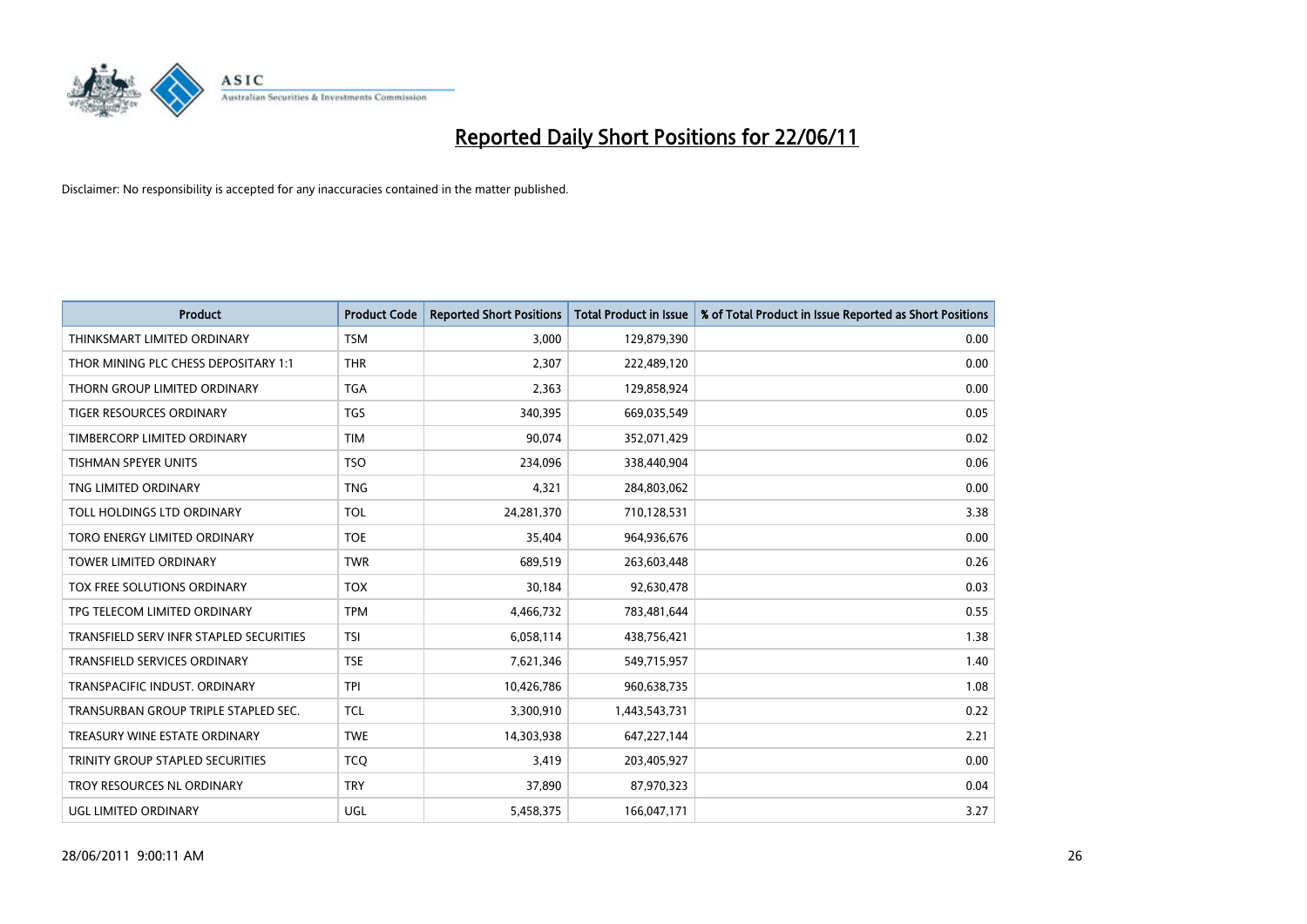

| <b>Product</b>                          | <b>Product Code</b> | <b>Reported Short Positions</b> | <b>Total Product in Issue</b> | % of Total Product in Issue Reported as Short Positions |
|-----------------------------------------|---------------------|---------------------------------|-------------------------------|---------------------------------------------------------|
| THINKSMART LIMITED ORDINARY             | <b>TSM</b>          | 3,000                           | 129,879,390                   | 0.00                                                    |
| THOR MINING PLC CHESS DEPOSITARY 1:1    | <b>THR</b>          | 2,307                           | 222,489,120                   | 0.00                                                    |
| THORN GROUP LIMITED ORDINARY            | <b>TGA</b>          | 2,363                           | 129,858,924                   | 0.00                                                    |
| TIGER RESOURCES ORDINARY                | <b>TGS</b>          | 340,395                         | 669,035,549                   | 0.05                                                    |
| TIMBERCORP LIMITED ORDINARY             | <b>TIM</b>          | 90,074                          | 352,071,429                   | 0.02                                                    |
| <b>TISHMAN SPEYER UNITS</b>             | <b>TSO</b>          | 234,096                         | 338,440,904                   | 0.06                                                    |
| TNG LIMITED ORDINARY                    | <b>TNG</b>          | 4,321                           | 284,803,062                   | 0.00                                                    |
| TOLL HOLDINGS LTD ORDINARY              | <b>TOL</b>          | 24,281,370                      | 710,128,531                   | 3.38                                                    |
| TORO ENERGY LIMITED ORDINARY            | <b>TOE</b>          | 35,404                          | 964,936,676                   | 0.00                                                    |
| <b>TOWER LIMITED ORDINARY</b>           | <b>TWR</b>          | 689,519                         | 263,603,448                   | 0.26                                                    |
| TOX FREE SOLUTIONS ORDINARY             | <b>TOX</b>          | 30,184                          | 92,630,478                    | 0.03                                                    |
| TPG TELECOM LIMITED ORDINARY            | <b>TPM</b>          | 4,466,732                       | 783,481,644                   | 0.55                                                    |
| TRANSFIELD SERV INFR STAPLED SECURITIES | <b>TSI</b>          | 6,058,114                       | 438,756,421                   | 1.38                                                    |
| TRANSFIELD SERVICES ORDINARY            | <b>TSE</b>          | 7,621,346                       | 549,715,957                   | 1.40                                                    |
| TRANSPACIFIC INDUST, ORDINARY           | <b>TPI</b>          | 10,426,786                      | 960,638,735                   | 1.08                                                    |
| TRANSURBAN GROUP TRIPLE STAPLED SEC.    | <b>TCL</b>          | 3,300,910                       | 1,443,543,731                 | 0.22                                                    |
| TREASURY WINE ESTATE ORDINARY           | <b>TWE</b>          | 14,303,938                      | 647,227,144                   | 2.21                                                    |
| TRINITY GROUP STAPLED SECURITIES        | <b>TCO</b>          | 3,419                           | 203,405,927                   | 0.00                                                    |
| TROY RESOURCES NL ORDINARY              | <b>TRY</b>          | 37,890                          | 87,970,323                    | 0.04                                                    |
| <b>UGL LIMITED ORDINARY</b>             | UGL                 | 5,458,375                       | 166,047,171                   | 3.27                                                    |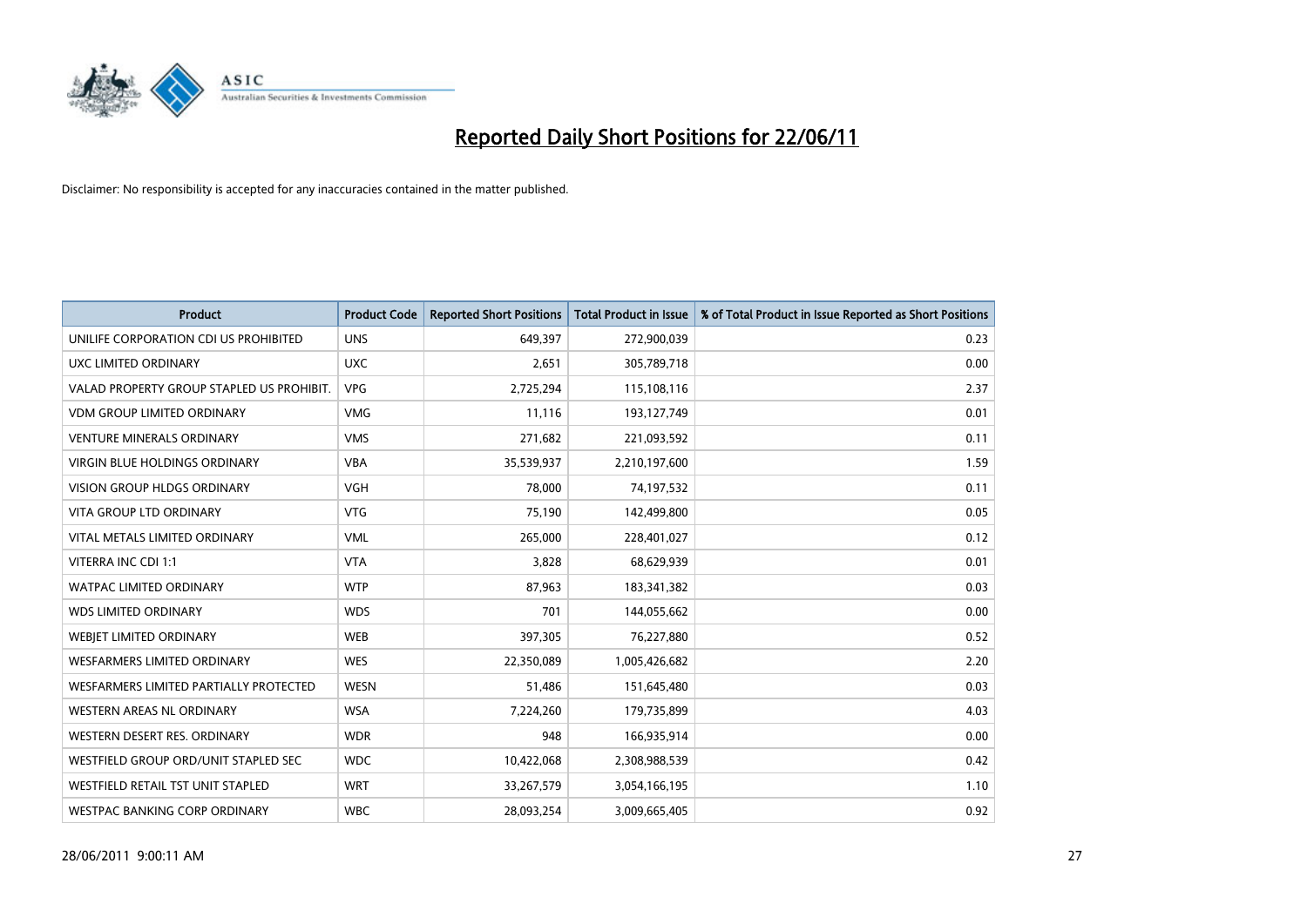

| <b>Product</b>                            | <b>Product Code</b> | <b>Reported Short Positions</b> | <b>Total Product in Issue</b> | % of Total Product in Issue Reported as Short Positions |
|-------------------------------------------|---------------------|---------------------------------|-------------------------------|---------------------------------------------------------|
| UNILIFE CORPORATION CDI US PROHIBITED     | <b>UNS</b>          | 649,397                         | 272,900,039                   | 0.23                                                    |
| UXC LIMITED ORDINARY                      | <b>UXC</b>          | 2,651                           | 305,789,718                   | 0.00                                                    |
| VALAD PROPERTY GROUP STAPLED US PROHIBIT. | <b>VPG</b>          | 2,725,294                       | 115,108,116                   | 2.37                                                    |
| <b>VDM GROUP LIMITED ORDINARY</b>         | <b>VMG</b>          | 11,116                          | 193,127,749                   | 0.01                                                    |
| <b>VENTURE MINERALS ORDINARY</b>          | <b>VMS</b>          | 271,682                         | 221,093,592                   | 0.11                                                    |
| <b>VIRGIN BLUE HOLDINGS ORDINARY</b>      | <b>VBA</b>          | 35,539,937                      | 2,210,197,600                 | 1.59                                                    |
| <b>VISION GROUP HLDGS ORDINARY</b>        | <b>VGH</b>          | 78,000                          | 74,197,532                    | 0.11                                                    |
| VITA GROUP LTD ORDINARY                   | <b>VTG</b>          | 75,190                          | 142,499,800                   | 0.05                                                    |
| VITAL METALS LIMITED ORDINARY             | <b>VML</b>          | 265,000                         | 228,401,027                   | 0.12                                                    |
| VITERRA INC CDI 1:1                       | <b>VTA</b>          | 3,828                           | 68,629,939                    | 0.01                                                    |
| WATPAC LIMITED ORDINARY                   | <b>WTP</b>          | 87,963                          | 183,341,382                   | 0.03                                                    |
| <b>WDS LIMITED ORDINARY</b>               | <b>WDS</b>          | 701                             | 144,055,662                   | 0.00                                                    |
| WEBIET LIMITED ORDINARY                   | <b>WEB</b>          | 397,305                         | 76,227,880                    | 0.52                                                    |
| <b>WESFARMERS LIMITED ORDINARY</b>        | <b>WES</b>          | 22,350,089                      | 1,005,426,682                 | 2.20                                                    |
| WESFARMERS LIMITED PARTIALLY PROTECTED    | <b>WESN</b>         | 51,486                          | 151,645,480                   | 0.03                                                    |
| WESTERN AREAS NL ORDINARY                 | <b>WSA</b>          | 7,224,260                       | 179,735,899                   | 4.03                                                    |
| WESTERN DESERT RES. ORDINARY              | <b>WDR</b>          | 948                             | 166,935,914                   | 0.00                                                    |
| WESTFIELD GROUP ORD/UNIT STAPLED SEC      | <b>WDC</b>          | 10,422,068                      | 2,308,988,539                 | 0.42                                                    |
| WESTFIELD RETAIL TST UNIT STAPLED         | <b>WRT</b>          | 33,267,579                      | 3,054,166,195                 | 1.10                                                    |
| WESTPAC BANKING CORP ORDINARY             | <b>WBC</b>          | 28,093,254                      | 3,009,665,405                 | 0.92                                                    |